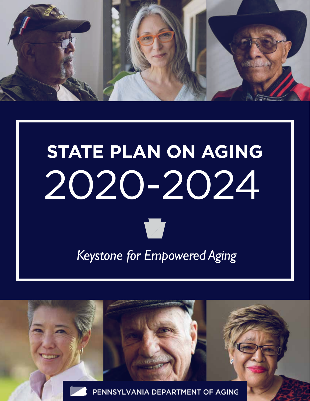

# **STATE PLAN ON AGING** 2020-2024

*Keystone for Empowered Aging*

PENNSYLVANIA DEPARTMENT OF AGING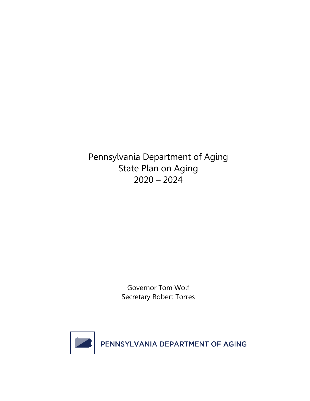Pennsylvania Department of Aging State Plan on Aging  $2020 - 2024$ 

> Governor Tom Wolf Secretary Robert Torres

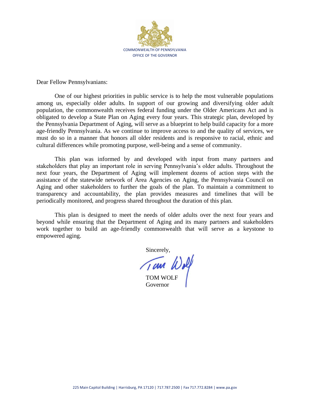

Dear Fellow Pennsylvanians:

One of our highest priorities in public service is to help the most vulnerable populations among us, especially older adults. In support of our growing and diversifying older adult population, the commonwealth receives federal funding under the Older Americans Act and is obligated to develop a State Plan on Aging every four years. This strategic plan, developed by the Pennsylvania Department of Aging, will serve as a blueprint to help build capacity for a more age-friendly Pennsylvania. As we continue to improve access to and the quality of services, we must do so in a manner that honors all older residents and is responsive to racial, ethnic and cultural differences while promoting purpose, well-being and a sense of community.

This plan was informed by and developed with input from many partners and stakeholders that play an important role in serving Pennsylvania's older adults. Throughout the next four years, the Department of Aging will implement dozens of action steps with the assistance of the statewide network of Area Agencies on Aging, the Pennsylvania Council on Aging and other stakeholders to further the goals of the plan. To maintain a commitment to transparency and accountability, the plan provides measures and timelines that will be periodically monitored, and progress shared throughout the duration of this plan.

This plan is designed to meet the needs of older adults over the next four years and beyond while ensuring that the Department of Aging and its many partners and stakeholders work together to build an age-friendly commonwealth that will serve as a keystone to empowered aging.

Sincerely,

TOM WOLF Governor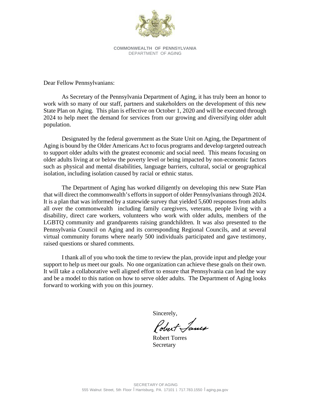

**COMMONWEALTH OF PENNSYLVANIA** DEPARTMENT OF AGING

Dear Fellow Pennsylvanians:

As Secretary of the Pennsylvania Department of Aging, it has truly been an honor to work with so many of our staff, partners and stakeholders on the development of this new State Plan on Aging. This plan is effective on October 1, 2020 and will be executed through 2024 to help meet the demand for services from our growing and diversifying older adult population.

Designated by the federal government as the State Unit on Aging, the Department of Aging is bound by the Older Americans Act to focus programs and develop targeted outreach to support older adults with the greatest economic and social need. This means focusing on older adults living at or below the poverty level or being impacted by non-economic factors such as physical and mental disabilities, language barriers, cultural, social or geographical isolation, including isolation caused by racial or ethnic status.

The Department of Aging has worked diligently on developing this new State Plan that will direct the commonwealth's efforts in support of older Pennsylvanians through 2024. It is a plan that was informed by a statewide survey that yielded 5,600 responses from adults all over the commonwealth including family caregivers, veterans, people living with a disability, direct care workers, volunteers who work with older adults, members of the LGBTQ community and grandparents raising grandchildren. It was also presented to the Pennsylvania Council on Aging and its corresponding Regional Councils, and at several virtual community forums where nearly 500 individuals participated and gave testimony, raised questions or shared comments.

I thank all of you who took the time to review the plan, provide input and pledge your support to help us meet our goals. No one organization can achieve these goals on their own. It will take a collaborative well aligned effort to ensure that Pennsylvania can lead the way and be a model to this nation on how to serve older adults. The Department of Aging looks forward to working with you on this journey.

Sincerely,

 Robert Torres Secretary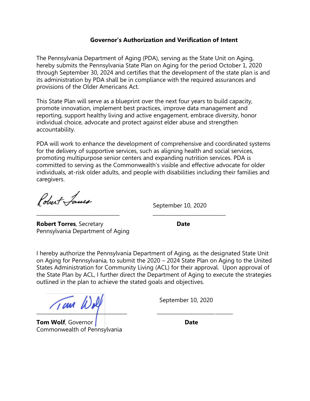# **Governor's Authorization and Verification of Intent**

The Pennsylvania Department of Aging (PDA), serving as the State Unit on Aging, hereby submits the Pennsylvania State Plan on Aging for the period October 1, 2020 through September 30, 2024 and certifies that the development of the state plan is and its administration by PDA shall be in compliance with the required assurances and provisions of the Older Americans Act.

This State Plan will serve as a blueprint over the next four years to build capacity, promote innovation, implement best practices, improve data management and reporting, support healthy living and active engagement, embrace diversity, honor individual choice, advocate and protect against elder abuse and strengthen accountability.

PDA will work to enhance the development of comprehensive and coordinated systems for the delivery of supportive services, such as aligning health and social services, promoting multipurpose senior centers and expanding nutrition services. PDA is committed to serving as the Commonwealth's visible and effective advocate for older individuals, at-risk older adults, and people with disabilities including their families and caregivers.

\_\_\_\_\_\_\_\_\_\_\_\_\_\_\_\_\_\_\_\_\_\_\_\_\_\_\_\_\_\_\_\_\_ \_\_\_\_\_\_\_\_\_\_\_\_\_\_\_\_\_\_\_\_\_\_\_\_\_\_\_\_\_

Pobert Lanes

September 10, 2020

**Robert Torres**, Secretary **Date** Pennsylvania Department of Aging

I hereby authorize the Pennsylvania Department of Aging, as the designated State Unit on Aging for Pennsylvania, to submit the 2020 – 2024 State Plan on Aging to the United States Administration for Community Living (ACL) for their approval. Upon approval of the State Plan by ACL, I further direct the Department of Aging to execute the strategies outlined in the plan to achieve the stated goals and objectives.

 $\sqrt{1000}$  Wolf

September 10, 2020

**Tom Wolf**, Governor **Date** Commonwealth of Pennsylvania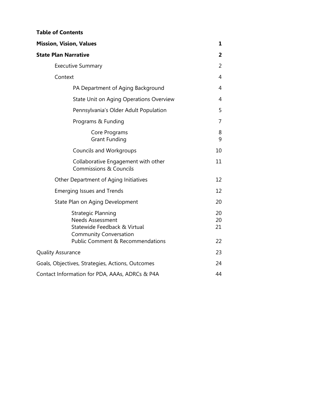| <b>Table of Contents</b> |
|--------------------------|
|--------------------------|

| <b>Mission, Vision, Values</b>                                                                                                                     | 1                    |
|----------------------------------------------------------------------------------------------------------------------------------------------------|----------------------|
| <b>State Plan Narrative</b>                                                                                                                        | 2                    |
| <b>Executive Summary</b>                                                                                                                           | $\overline{2}$       |
| Context                                                                                                                                            | 4                    |
| PA Department of Aging Background                                                                                                                  | 4                    |
| <b>State Unit on Aging Operations Overview</b>                                                                                                     | 4                    |
| Pennsylvania's Older Adult Population                                                                                                              | 5                    |
| Programs & Funding                                                                                                                                 | 7                    |
| Core Programs<br><b>Grant Funding</b>                                                                                                              | 8<br>9               |
| <b>Councils and Workgroups</b>                                                                                                                     | 10                   |
| Collaborative Engagement with other<br><b>Commissions &amp; Councils</b>                                                                           | 11                   |
| Other Department of Aging Initiatives                                                                                                              | 12                   |
| <b>Emerging Issues and Trends</b>                                                                                                                  | 12                   |
| State Plan on Aging Development                                                                                                                    | 20                   |
| Strategic Planning<br><b>Needs Assessment</b><br>Statewide Feedback & Virtual<br><b>Community Conversation</b><br>Public Comment & Recommendations | 20<br>20<br>21<br>22 |
| <b>Quality Assurance</b>                                                                                                                           | 23                   |
| Goals, Objectives, Strategies, Actions, Outcomes                                                                                                   | 24                   |
| Contact Information for PDA, AAAs, ADRCs & P4A                                                                                                     | 44                   |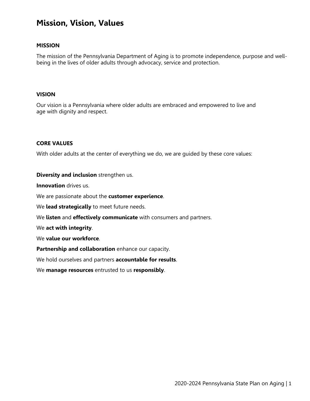# **Mission, Vision, Values**

#### **MISSION**

The mission of the Pennsylvania Department of Aging is to promote independence, purpose and wellbeing in the lives of older adults through advocacy, service and protection.

#### **VISION**

Our vision is a Pennsylvania where older adults are embraced and empowered to live and age with dignity and respect.

#### **CORE VALUES**

With older adults at the center of everything we do, we are guided by these core values:

#### **Diversity and inclusion** strengthen us.

**Innovation** drives us.

We are passionate about the **customer experience**.

We **lead strategically** to meet future needs.

We **listen** and **effectively communicate** with consumers and partners.

We **act with integrity**.

We **value our workforce**.

**Partnership and collaboration** enhance our capacity.

We hold ourselves and partners **accountable for results**.

We **manage resources** entrusted to us **responsibly**.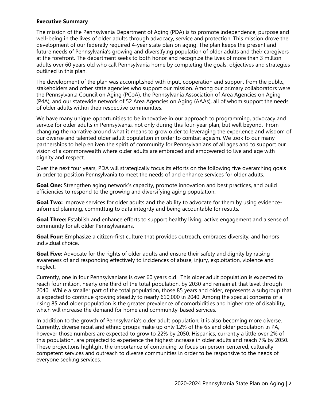#### **Executive Summary**

The mission of the Pennsylvania Department of Aging (PDA) is to promote independence, purpose and well-being in the lives of older adults through advocacy, service and protection. This mission drove the development of our federally required 4-year state plan on aging. The plan keeps the present and future needs of Pennsylvania's growing and diversifying population of older adults and their caregivers at the forefront. The department seeks to both honor and recognize the lives of more than 3 million adults over 60 years old who call Pennsylvania home by completing the goals, objectives and strategies outlined in this plan.

The development of the plan was accomplished with input, cooperation and support from the public, stakeholders and other state agencies who support our mission. Among our primary collaborators were the Pennsylvania Council on Aging (PCoA), the Pennsylvania Association of Area Agencies on Aging (P4A), and our statewide network of 52 Area Agencies on Aging (AAAs), all of whom support the needs of older adults within their respective communities.

We have many unique opportunities to be innovative in our approach to programming, advocacy and service for older adults in Pennsylvania, not only during this four-year plan, but well beyond. From changing the narrative around what it means to grow older to leveraging the experience and wisdom of our diverse and talented older adult population in order to combat ageism. We look to our many partnerships to help enliven the spirit of community for Pennsylvanians of all ages and to support our vision of a commonwealth where older adults are embraced and empowered to live and age with dignity and respect.

Over the next four years, PDA will strategically focus its efforts on the following five overarching goals in order to position Pennsylvania to meet the needs of and enhance services for older adults.

**Goal One:** Strengthen aging network's capacity, promote innovation and best practices, and build efficiencies to respond to the growing and diversifying aging population.

**Goal Two:** Improve services for older adults and the ability to advocate for them by using evidenceinformed planning, committing to data integrity and being accountable for results.

**Goal Three:** Establish and enhance efforts to support healthy living, active engagement and a sense of community for all older Pennsylvanians.

**Goal Four:** Emphasize a citizen-first culture that provides outreach, embraces diversity, and honors individual choice.

**Goal Five:** Advocate for the rights of older adults and ensure their safety and dignity by raising awareness of and responding effectively to incidences of abuse, injury, exploitation, violence and neglect.

Currently, one in four Pennsylvanians is over 60 years old. This older adult population is expected to reach four million, nearly one third of the total population, by 2030 and remain at that level through 2040. While a smaller part of the total population, those 85 years and older, represents a subgroup that is expected to continue growing steadily to nearly 610,000 in 2040. Among the special concerns of a rising 85 and older population is the greater prevalence of comorbidities and higher rate of disability, which will increase the demand for home and community-based services.

In addition to the growth of Pennsylvania's older adult population, it is also becoming more diverse. Currently, diverse racial and ethnic groups make up only 12% of the 65 and older population in PA, however those numbers are expected to grow to 22% by 2050. Hispanics, currently a little over 2% of this population, are projected to experience the highest increase in older adults and reach 7% by 2050. These projections highlight the importance of continuing to focus on person-centered, culturally competent services and outreach to diverse communities in order to be responsive to the needs of everyone seeking services.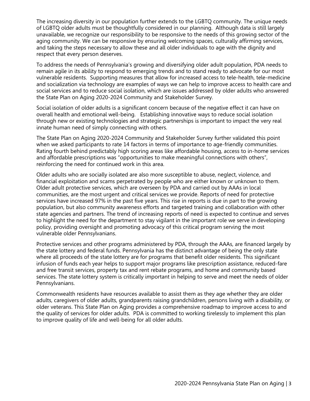The increasing diversity in our population further extends to the LGBTQ community. The unique needs of LGBTQ older adults must be thoughtfully considered in our planning. Although data is still largely unavailable, we recognize our responsibility to be responsive to the needs of this growing sector of the aging community. We can be responsive by ensuring welcoming spaces, culturally affirming services, and taking the steps necessary to allow these and all older individuals to age with the dignity and respect that every person deserves.

To address the needs of Pennsylvania's growing and diversifying older adult population, PDA needs to remain agile in its ability to respond to emerging trends and to stand ready to advocate for our most vulnerable residents. Supporting measures that allow for increased access to tele-health, tele-medicine and socialization via technology are examples of ways we can help to improve access to health care and social services and to reduce social isolation, which are issues addressed by older adults who answered the State Plan on Aging 2020-2024 Community and Stakeholder Survey.

Social isolation of older adults is a significant concern because of the negative effect it can have on overall health and emotional well-being. Establishing innovative ways to reduce social isolation through new or existing technologies and strategic partnerships is important to impact the very real innate human need of simply connecting with others.

The State Plan on Aging 2020-2024 Community and Stakeholder Survey further validated this point when we asked participants to rate 14 factors in terms of importance to age-friendly communities. Rating fourth behind predictably high scoring areas like affordable housing, access to in-home services and affordable prescriptions was "opportunities to make meaningful connections with others", reinforcing the need for continued work in this area.

Older adults who are socially isolated are also more susceptible to abuse, neglect, violence, and financial exploitation and scams perpetrated by people who are either known or unknown to them. Older adult protective services, which are overseen by PDA and carried out by AAAs in local communities, are the most urgent and critical services we provide. Reports of need for protective services have increased 97% in the past five years. This rise in reports is due in part to the growing population, but also community awareness efforts and targeted training and collaboration with other state agencies and partners. The trend of increasing reports of need is expected to continue and serves to highlight the need for the department to stay vigilant in the important role we serve in developing policy, providing oversight and promoting advocacy of this critical program serving the most vulnerable older Pennsylvanians.

Protective services and other programs administered by PDA, through the AAAs, are financed largely by the state lottery and federal funds. Pennsylvania has the distinct advantage of being the only state where all proceeds of the state lottery are for programs that benefit older residents. This significant infusion of funds each year helps to support major programs like prescription assistance, reduced-fare and free transit services, property tax and rent rebate programs, and home and community based services. The state lottery system is critically important in helping to serve and meet the needs of older Pennsylvanians.

Commonwealth residents have resources available to assist them as they age whether they are older adults, caregivers of older adults, grandparents raising grandchildren, persons living with a disability, or older veterans. This State Plan on Aging provides a comprehensive roadmap to improve access to and the quality of services for older adults. PDA is committed to working tirelessly to implement this plan to improve quality of life and well-being for all older adults.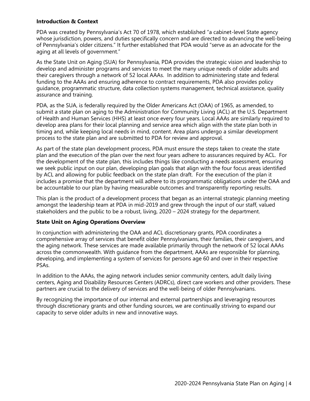#### **Introduction & Context**

PDA was created by Pennsylvania's Act 70 of 1978, which established "a cabinet-level State agency whose jurisdiction, powers, and duties specifically concern and are directed to advancing the well-being of Pennsylvania's older citizens." It further established that PDA would "serve as an advocate for the aging at all levels of government."

As the State Unit on Aging (SUA) for Pennsylvania, PDA provides the strategic vision and leadership to develop and administer programs and services to meet the many unique needs of older adults and their caregivers through a network of 52 local AAAs. In addition to administering state and federal funding to the AAAs and ensuring adherence to contract requirements, PDA also provides policy guidance, programmatic structure, data collection systems management, technical assistance, quality assurance and training.

PDA, as the SUA, is federally required by the Older Americans Act (OAA) of 1965, as amended, to submit a state plan on aging to the Administration for Community Living (ACL) at the U.S. Department of Health and Human Services (HHS) at least once every four years. Local AAAs are similarly required to develop area plans for their local planning and service area which align with the state plan both in timing and, while keeping local needs in mind, content. Area plans undergo a similar development process to the state plan and are submitted to PDA for review and approval.

As part of the state plan development process, PDA must ensure the steps taken to create the state plan and the execution of the plan over the next four years adhere to assurances required by ACL. For the development of the state plan, this includes things like conducting a needs assessment, ensuring we seek public input on our plan, developing plan goals that align with the four focus areas identified by ACL and allowing for public feedback on the state plan draft. For the execution of the plan it includes a promise that the department will adhere to its programmatic obligations under the OAA and be accountable to our plan by having measurable outcomes and transparently reporting results.

This plan is the product of a development process that began as an internal strategic planning meeting amongst the leadership team at PDA in mid-2019 and grew through the input of our staff, valued stakeholders and the public to be a robust, living, 2020 – 2024 strategy for the department.

#### **State Unit on Aging Operations Overview**

In conjunction with administering the OAA and ACL discretionary grants, PDA coordinates a comprehensive array of services that benefit older Pennsylvanians, their families, their caregivers, and the aging network. These services are made available primarily through the network of 52 local AAAs across the commonwealth. With guidance from the department, AAAs are responsible for planning, developing, and implementing a system of services for persons age 60 and over in their respective PSAs.

In addition to the AAAs, the aging network includes senior community centers, adult daily living centers, Aging and Disability Resources Centers (ADRCs), direct care workers and other providers. These partners are crucial to the delivery of services and the well-being of older Pennsylvanians.

By recognizing the importance of our internal and external partnerships and leveraging resources through discretionary grants and other funding sources, we are continually striving to expand our capacity to serve older adults in new and innovative ways.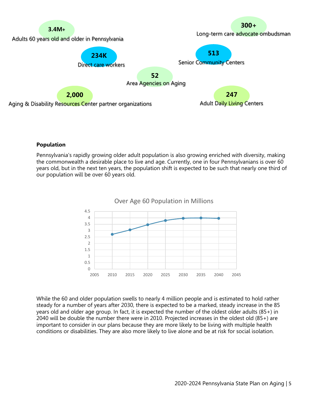

#### **Population**

Pennsylvania's rapidly growing older adult population is also growing enriched with diversity, making the commonwealth a desirable place to live and age. Currently, one in four Pennsylvanians is over 60 years old, but in the next ten years, the population shift is expected to be such that nearly one third of our population will be over 60 years old.



While the 60 and older population swells to nearly 4 million people and is estimated to hold rather steady for a number of years after 2030, there is expected to be a marked, steady increase in the 85 years old and older age group. In fact, it is expected the number of the oldest older adults (85+) in 2040 will be double the number there were in 2010. Projected increases in the oldest old (85+) are important to consider in our plans because they are more likely to be living with multiple health conditions or disabilities. They are also more likely to live alone and be at risk for social isolation.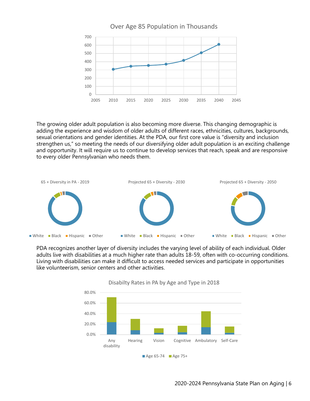

The growing older adult population is also becoming more diverse. This changing demographic is adding the experience and wisdom of older adults of different races, ethnicities, cultures, backgrounds, sexual orientations and gender identities. At the PDA, our first core value is "diversity and inclusion strengthen us," so meeting the needs of our diversifying older adult population is an exciting challenge and opportunity. It will require us to continue to develop services that reach, speak and are responsive to every older Pennsylvanian who needs them.



PDA recognizes another layer of diversity includes the varying level of ability of each individual. Older adults live with disabilities at a much higher rate than adults 18-59, often with co-occurring conditions. Living with disabilities can make it difficult to access needed services and participate in opportunities like volunteerism, senior centers and other activities.



# Disabilty Rates in PA by Age and Type in 2018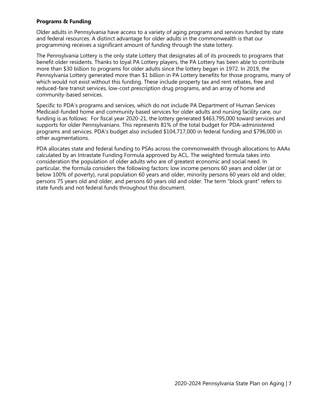#### **Programs & Funding**

Older adults in Pennsylvania have access to a variety of aging programs and services funded by state and federal resources. A distinct advantage for older adults in the commonwealth is that our programming receives a significant amount of funding through the state lottery.

The Pennsylvania Lottery is the only state Lottery that designates all of its proceeds to programs that benefit older residents. Thanks to loyal PA Lottery players, the PA Lottery has been able to contribute more than \$30 billion to programs for older adults since the lottery began in 1972. In 2019, the Pennsylvania Lottery generated more than \$1 billion in PA Lottery benefits for those programs, many of which would not exist without this funding. These include property tax and rent rebates, free and reduced-fare transit services, low-cost prescription drug programs, and an array of home and community-based services.

Specific to PDA's programs and services, which do not include PA Department of Human Services Medicaid-funded home and community based services for older adults and nursing facility care, our funding is as follows: For fiscal year 2020-21, the lottery generated \$463,795,000 toward services and supports for older Pennsylvanians. This represents 81% of the total budget for PDA-administered programs and services. PDA's budget also included \$104,717,000 in federal funding and \$796,000 in other augmentations.

PDA allocates state and federal funding to PSAs across the commonwealth through allocations to AAAs calculated by an Intrastate Funding Formula approved by ACL. The weighted formula takes into consideration the population of older adults who are of greatest economic and social need. In particular, the formula considers the following factors: low income persons 60 years and older (at or below 100% of poverty), rural population 60 years and older, minority persons 60 years old and older, persons 75 years old and older, and persons 60 years old and older. The term "block grant" refers to state funds and not federal funds throughout this document.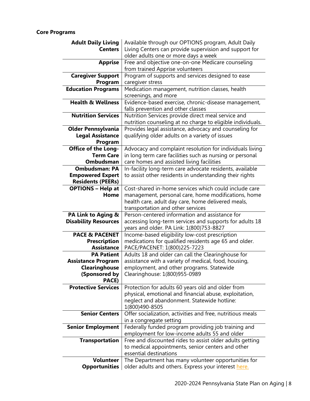# **Core Programs**

| <b>Adult Daily Living</b>                | Available through our OPTIONS program, Adult Daily                                                          |
|------------------------------------------|-------------------------------------------------------------------------------------------------------------|
| <b>Centers</b>                           | Living Centers can provide supervision and support for                                                      |
|                                          | older adults one or more days a week                                                                        |
| <b>Apprise</b>                           | Free and objective one-on-one Medicare counseling                                                           |
|                                          | from trained Apprise volunteers                                                                             |
| <b>Caregiver Support</b>                 | Program of supports and services designed to ease                                                           |
| Program                                  | caregiver stress                                                                                            |
| <b>Education Programs</b>                | Medication management, nutrition classes, health                                                            |
|                                          |                                                                                                             |
| <b>Health &amp; Wellness</b>             | screenings, and more                                                                                        |
|                                          | Evidence-based exercise, chronic-disease management,                                                        |
|                                          | falls prevention and other classes                                                                          |
| <b>Nutrition Services</b>                | Nutrition Services provide direct meal service and                                                          |
|                                          | nutrition counseling at no charge to eligible individuals.                                                  |
| <b>Older Pennsylvania</b>                | Provides legal assistance, advocacy and counseling for                                                      |
| <b>Legal Assistance</b>                  | qualifying older adults on a variety of issues                                                              |
| Program                                  |                                                                                                             |
| <b>Office of the Long-</b>               | Advocacy and complaint resolution for individuals living                                                    |
| <b>Term Care</b>                         | in long term care facilities such as nursing or personal                                                    |
| Ombudsman                                | care homes and assisted living facilities                                                                   |
| <b>Ombudsman: PA</b>                     | In-facility long-term care advocate residents, available                                                    |
| <b>Empowered Expert</b>                  | to assist other residents in understanding their rights                                                     |
| <b>Residents (PEERs)</b>                 |                                                                                                             |
| <b>OPTIONS - Help at</b>                 | Cost-shared in-home services which could include care                                                       |
| Home                                     | management, personal care, home modifications, home                                                         |
|                                          | health care, adult day care, home delivered meals,                                                          |
|                                          | transportation and other services                                                                           |
| PA Link to Aging &                       | Person-centered information and assistance for                                                              |
| <b>Disability Resources</b>              | accessing long-term services and supports for adults 18                                                     |
|                                          | years and older. PA Link: 1(800)753-8827                                                                    |
|                                          | Income-based eligibility low-cost prescription                                                              |
|                                          |                                                                                                             |
| <b>PACE &amp; PACENET</b>                |                                                                                                             |
| <b>Prescription</b>                      | medications for qualified residents age 65 and older.                                                       |
| <b>Assistance</b>                        | PACE/PACENET: 1(800)225-7223                                                                                |
| <b>PA Patient</b>                        | Adults 18 and older can call the Clearinghouse for                                                          |
| <b>Assistance Program</b>                | assistance with a variety of medical, food, housing,                                                        |
| Clearinghouse                            | employment, and other programs. Statewide                                                                   |
| (Sponsored by                            | Clearinghouse: 1(800)955-0989                                                                               |
| PACE)                                    |                                                                                                             |
| <b>Protective Services</b>               | Protection for adults 60 years old and older from                                                           |
|                                          | physical, emotional and financial abuse, exploitation,                                                      |
|                                          | neglect and abandonment. Statewide hotline:                                                                 |
|                                          | 1(800)490-8505                                                                                              |
| <b>Senior Centers</b>                    | Offer socialization, activities and free, nutritious meals                                                  |
|                                          | in a congregate setting                                                                                     |
| <b>Senior Employment</b>                 | Federally funded program providing job training and                                                         |
|                                          | employment for low-income adults 55 and older                                                               |
| <b>Transportation</b>                    | Free and discounted rides to assist older adults getting                                                    |
|                                          | to medical appointments, senior centers and other                                                           |
|                                          | essential destinations                                                                                      |
| <b>Volunteer</b><br><b>Opportunities</b> | The Department has many volunteer opportunities for<br>older adults and others. Express your interest here. |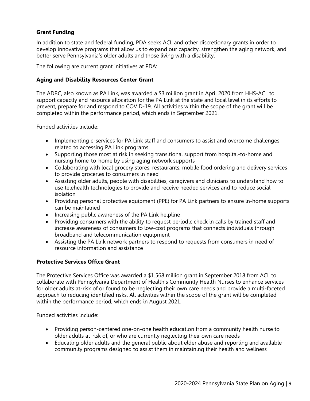# **Grant Funding**

In addition to state and federal funding, PDA seeks ACL and other discretionary grants in order to develop innovative programs that allow us to expand our capacity, strengthen the aging network, and better serve Pennsylvania's older adults and those living with a disability.

The following are current grant initiatives at PDA:

#### **Aging and Disability Resources Center Grant**

The ADRC, also known as PA Link, was awarded a \$3 million grant in April 2020 from HHS-ACL to support capacity and resource allocation for the PA Link at the state and local level in its efforts to prevent, prepare for and respond to COVID-19. All activities within the scope of the grant will be completed within the performance period, which ends in September 2021.

Funded activities include:

- Implementing e-services for PA Link staff and consumers to assist and overcome challenges related to accessing PA Link programs
- Supporting those most at risk in seeking transitional support from hospital-to-home and nursing home-to-home by using aging network supports
- Collaborating with local grocery stores, restaurants, mobile food ordering and delivery services to provide groceries to consumers in need
- Assisting older adults, people with disabilities, caregivers and clinicians to understand how to use telehealth technologies to provide and receive needed services and to reduce social isolation
- Providing personal protective equipment (PPE) for PA Link partners to ensure in-home supports can be maintained
- Increasing public awareness of the PA Link helpline
- Providing consumers with the ability to request periodic check in calls by trained staff and increase awareness of consumers to low-cost programs that connects individuals through broadband and telecommunication equipment
- Assisting the PA Link network partners to respond to requests from consumers in need of resource information and assistance

#### **Protective Services Office Grant**

The Protective Services Office was awarded a \$1.568 million grant in September 2018 from ACL to collaborate with Pennsylvania Department of Health's Community Health Nurses to enhance services for older adults at-risk of or found to be neglecting their own care needs and provide a multi-faceted approach to reducing identified risks. All activities within the scope of the grant will be completed within the performance period, which ends in August 2021.

Funded activities include:

- Providing person-centered one-on-one health education from a community health nurse to older adults at-risk of, or who are currently neglecting their own care needs
- Educating older adults and the general public about elder abuse and reporting and available community programs designed to assist them in maintaining their health and wellness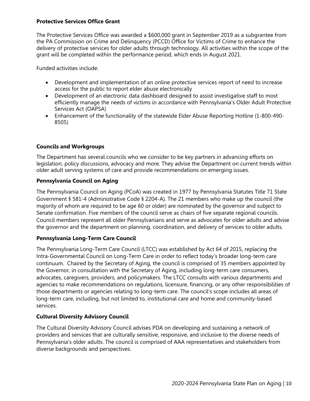#### **Protective Services Office Grant**

The Protective Services Office was awarded a \$600,000 grant in September 2019 as a subgrantee from the PA Commission on Crime and Delinquency (PCCD) Office for Victims of Crime to enhance the delivery of protective services for older adults through technology. All activities within the scope of the grant will be completed within the performance period, which ends in August 2021.

Funded activities include:

- Development and implementation of an online protective services report of need to increase access for the public to report elder abuse electronically
- Development of an electronic data dashboard designed to assist investigative staff to most efficiently manage the needs of victims in accordance with Pennsylvania's Older Adult Protective Services Act (OAPSA)
- Enhancement of the functionality of the statewide Elder Abuse Reporting Hotline (1-800-490- 8505)

# **Councils and Workgroups**

The Department has several councils who we consider to be key partners in advancing efforts on legislation, policy discussions, advocacy and more. They advise the Department on current trends within older adult serving systems of care and provide recommendations on emerging issues.

#### **Pennsylvania Council on Aging**

The Pennsylvania Council on Aging (PCoA) was created in 1977 by Pennsylvania Statutes Title 71 State Government § 581-4 (Administrative Code § 2204-A). The 21 members who make up the council (the majority of whom are required to be age 60 or older) are nominated by the governor and subject to Senate confirmation. Five members of the council serve as chairs of five separate regional councils. Council members represent all older Pennsylvanians and serve as advocates for older adults and advise the governor and the department on planning, coordination, and delivery of services to older adults.

# **Pennsylvania Long-Term Care Council**

The Pennsylvania Long-Term Care Council (LTCC) was established by Act 64 of 2015, replacing the Intra-Governmental Council on Long-Term Care in order to reflect today's broader long-term care continuum. Chaired by the Secretary of Aging, the council is comprised of 35 members appointed by the Governor, in consultation with the Secretary of Aging, including long-term care consumers, advocates, caregivers, providers, and policymakers. The LTCC consults with various departments and agencies to make recommendations on regulations, licensure, financing, or any other responsibilities of those departments or agencies relating to long-term care. The council's scope includes all areas of long-term care, including, but not limited to, institutional care and home and community-based services.

# **Cultural Diversity Advisory Council**

The Cultural Diversity Advisory Council advises PDA on developing and sustaining a network of providers and services that are culturally sensitive, responsive, and inclusive to the diverse needs of Pennsylvania's older adults. The council is comprised of AAA representatives and stakeholders from diverse backgrounds and perspectives.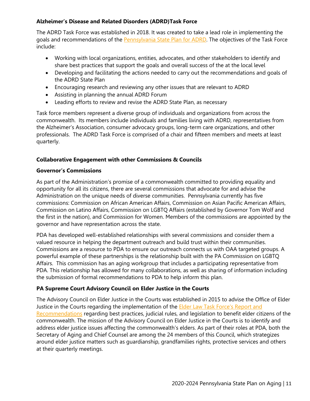## **Alzheimer's Disease and Related Disorders (ADRD)Task Force**

The ADRD Task Force was established in 2018. It was created to take a lead role in implementing the goals and recommendations of the [Pennsylvania State Plan for ADRD.](https://www.aging.pa.gov/publications/alzheimers-related-disorders/Documents/Pennsylvania%20State%20Plan%20for%20Alzheimer) The objectives of the Task Force include:

- Working with local organizations, entities, advocates, and other stakeholders to identify and share best practices that support the goals and overall success of the at the local level
- Developing and facilitating the actions needed to carry out the recommendations and goals of the ADRD State Plan
- Encouraging research and reviewing any other issues that are relevant to ADRD
- Assisting in planning the annual ADRD Forum
- Leading efforts to review and revise the ADRD State Plan, as necessary

Task force members represent a diverse group of individuals and organizations from across the commonwealth. Its members include individuals and families living with ADRD, representatives from the Alzheimer's Association, consumer advocacy groups, long-term care organizations, and other professionals. The ADRD Task Force is comprised of a chair and fifteen members and meets at least quarterly.

#### **Collaborative Engagement with other Commissions & Councils**

#### **Governor's Commissions**

As part of the Administration's promise of a commonwealth committed to providing equality and opportunity for all its citizens, there are several commissions that advocate for and advise the Administration on the unique needs of diverse communities. Pennsylvania currently has five commissions: Commission on African American Affairs, Commission on Asian Pacific American Affairs, Commission on Latino Affairs, Commission on LGBTQ Affairs (established by Governor Tom Wolf and the first in the nation), and Commission for Women. Members of the commissions are appointed by the governor and have representation across the state.

PDA has developed well-established relationships with several commissions and consider them a valued resource in helping the department outreach and build trust within their communities. Commissions are a resource to PDA to ensure our outreach connects us with OAA targeted groups. A powerful example of these partnerships is the relationship built with the PA Commission on LGBTQ Affairs. This commission has an aging workgroup that includes a participating representative from PDA. This relationship has allowed for many collaborations, as well as sharing of information including the submission of formal recommendations to PDA to help inform this plan.

# **PA Supreme Court Advisory Council on Elder Justice in the Courts**

The Advisory Council on Elder Justice in the Courts was established in 2015 to advise the Office of Elder Justice in the Courts regarding the implementation of the **Elder Law Task Force's Report and** [Recommendations](http://media-downloads.pacourts.us/eltf-report.pdf?cb=1597176868419) regarding best practices, judicial rules, and legislation to benefit elder citizens of the commonwealth. The mission of the Advisory Council on Elder Justice in the Courts is to identify and address elder justice issues affecting the commonwealth's elders. As part of their roles at PDA, both the Secretary of Aging and Chief Counsel are among the 24 members of this Council, which strategizes around elder justice matters such as guardianship, grandfamilies rights, protective services and others at their quarterly meetings.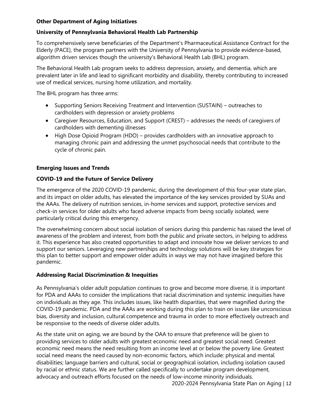# **Other Department of Aging Initiatives**

# **University of Pennsylvania Behavioral Health Lab Partnership**

To comprehensively serve beneficiaries of the Department's Pharmaceutical Assistance Contract for the Elderly (PACE), the program partners with the University of Pennsylvania to provide evidence-based, algorithm driven services though the university's Behavioral Health Lab (BHL) program.

The Behavioral Health Lab program seeks to address depression, anxiety, and dementia, which are prevalent later in life and lead to significant morbidity and disability, thereby contributing to increased use of medical services, nursing home utilization, and mortality.

The BHL program has three arms:

- Supporting Seniors Receiving Treatment and Intervention (SUSTAIN) outreaches to cardholders with depression or anxiety problems
- Caregiver Resources, Education, and Support (CREST) addresses the needs of caregivers of cardholders with dementing illnesses
- High Dose Opioid Program (HDO) provides cardholders with an innovative approach to managing chronic pain and addressing the unmet psychosocial needs that contribute to the cycle of chronic pain.

# **Emerging Issues and Trends**

# **COVID-19 and the Future of Service Delivery**

The emergence of the 2020 COVID-19 pandemic, during the development of this four-year state plan, and its impact on older adults, has elevated the importance of the key services provided by SUAs and the AAAs. The delivery of nutrition services, in-home services and support, protective services and check-in services for older adults who faced adverse impacts from being socially isolated, were particularly critical during this emergency.

The overwhelming concern about social isolation of seniors during this pandemic has raised the level of awareness of the problem and interest, from both the public and private sectors, in helping to address it. This experience has also created opportunities to adapt and innovate how we deliver services to and support our seniors. Leveraging new partnerships and technology solutions will be key strategies for this plan to better support and empower older adults in ways we may not have imagined before this pandemic.

# **Addressing Racial Discrimination & Inequities**

As Pennsylvania's older adult population continues to grow and become more diverse, it is important for PDA and AAAs to consider the implications that racial discrimination and systemic inequities have on individuals as they age. This includes issues, like health disparities, that were magnified during the COVID-19 pandemic. PDA and the AAAs are working during this plan to train on issues like unconscious bias, diversity and inclusion, cultural competence and trauma in order to more effectively outreach and be responsive to the needs of diverse older adults.

As the state unit on aging, we are bound by the OAA to ensure that preference will be given to providing services to older adults with greatest economic need and greatest social need. Greatest economic need means the need resulting from an income level at or below the poverty line. Greatest social need means the need caused by non-economic factors, which include: physical and mental disabilities; language barriers and cultural, social or geographical isolation, including isolation caused by racial or ethnic status. We are further called specifically to undertake program development, advocacy and outreach efforts focused on the needs of low-income minority individuals.

2020-2024 Pennsylvania State Plan on Aging | 12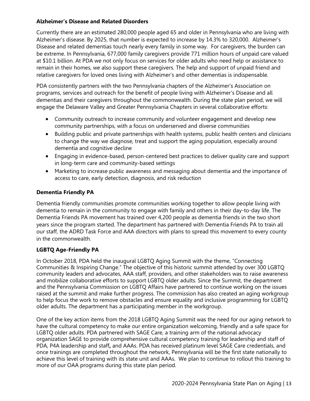#### **Alzheimer's Disease and Related Disorders**

Currently there are an estimated 280,000 people aged 65 and older in Pennsylvania who are living with Alzheimer's disease. By 2025, that number is expected to increase by 14.3% to 320,000. Alzheimer's Disease and related dementias touch nearly every family in some way. For caregivers, the burden can be extreme. In Pennsylvania, 677,000 family caregivers provide 771 million hours of unpaid care valued at \$10.1 billion. At PDA we not only focus on services for older adults who need help or assistance to remain in their homes, we also support these caregivers. The help and support of unpaid friend and relative caregivers for loved ones living with Alzheimer's and other dementias is indispensable.

PDA consistently partners with the two Pennsylvania chapters of the Alzheimer's Association on programs, services and outreach for the benefit of people living with Alzheimer's Disease and all dementias and their caregivers throughout the commonwealth. During the state plan period, we will engage the Delaware Valley and Greater Pennsylvania Chapters in several collaborative efforts:

- Community outreach to increase community and volunteer engagement and develop new community partnerships, with a focus on underserved and diverse communities
- Building public and private partnerships with health systems, public health centers and clinicians to change the way we diagnose, treat and support the aging population, especially around dementia and cognitive decline
- Engaging in evidence-based, person-centered best practices to deliver quality care and support in long-term care and community-based settings
- Marketing to increase public awareness and messaging about dementia and the importance of access to care, early detection, diagnosis, and risk reduction

# **Dementia Friendly PA**

Dementia friendly communities promote communities working together to allow people living with dementia to remain in the community to engage with family and others in their day-to-day life. The Dementia Friends PA movement has trained over 4,200 people as dementia friends in the two short years since the program started. The department has partnered with Dementia Friends PA to train all our staff, the ADRD Task Force and AAA directors with plans to spread this movement to every county in the commonwealth.

# **LGBTQ Age-Friendly PA**

In October 2018, PDA held the inaugural LGBTQ Aging Summit with the theme, "Connecting Communities & Inspiring Change." The objective of this historic summit attended by over 300 LGBTQ community leaders and advocates, AAA staff, providers, and other stakeholders was to raise awareness and mobilize collaborative efforts to support LGBTQ older adults. Since the Summit, the department and the Pennsylvania Commission on LGBTQ Affairs have partnered to continue working on the issues raised at the summit and make further progress. The commission has also created an aging workgroup to help focus the work to remove obstacles and ensure equality and inclusive programming for LGBTQ older adults. The department has a participating member in the workgroup.

One of the key action items from the 2018 LGBTQ Aging Summit was the need for our aging network to have the cultural competency to make our entire organization welcoming, friendly and a safe space for LGBTQ older adults. PDA partnered with SAGE Care, a training arm of the national advocacy organization SAGE to provide comprehensive cultural competency training for leadership and staff of PDA, P4A leadership and staff**,** and AAAs. PDA has received platinum level SAGE Care credentials, and once trainings are completed throughout the network, Pennsylvania will be the first state nationally to achieve this level of training with its state unit and AAAs. We plan to continue to rollout this training to more of our OAA programs during this state plan period.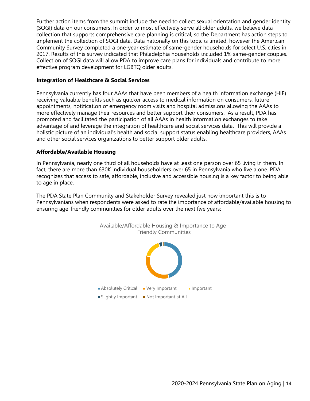Further action items from the summit include the need to collect sexual orientation and gender identity (SOGI) data on our consumers. In order to most effectively serve all older adults, we believe data collection that supports comprehensive care planning is critical, so the Department has action steps to implement the collection of SOGI data. Data nationally on this topic is limited, however the American Community Survey completed a one-year estimate of same-gender households for select U.S. cities in 2017. Results of this survey indicated that Philadelphia households included 1% same-gender couples. Collection of SOGI data will allow PDA to improve care plans for individuals and contribute to more effective program development for LGBTQ older adults.

#### **Integration of Healthcare & Social Services**

Pennsylvania currently has four AAAs that have been members of a health information exchange (HIE) receiving valuable benefits such as quicker access to medical information on consumers, future appointments, notification of emergency room visits and hospital admissions allowing the AAAs to more effectively manage their resources and better support their consumers. As a result, PDA has promoted and facilitated the participation of all AAAs in health information exchanges to take advantage of and leverage the integration of healthcare and social services data. This will provide a holistic picture of an individual's health and social support status enabling healthcare providers, AAAs and other social services organizations to better support older adults.

#### **Affordable/Available Housing**

In Pennsylvania, nearly one third of all households have at least one person over 65 living in them. In fact, there are more than 630K individual householders over 65 in Pennsylvania who live alone. PDA recognizes that access to safe, affordable, inclusive and accessible housing is a key factor to being able to age in place.

The PDA State Plan Community and Stakeholder Survey revealed just how important this is to Pennsylvanians when respondents were asked to rate the importance of affordable/available housing to ensuring age-friendly communities for older adults over the next five years:

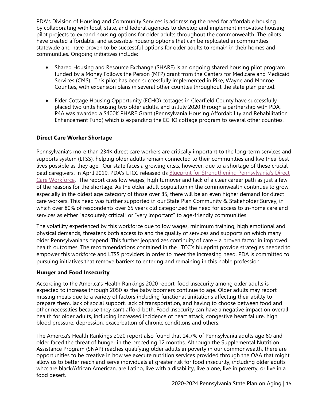PDA's Division of Housing and Community Services is addressing the need for affordable housing by collaborating with local, state, and federal agencies to develop and implement innovative housing pilot projects to expand housing options for older adults throughout the commonwealth. The pilots have created affordable, and accessible housing options that can be replicated in communities statewide and have proven to be successful options for older adults to remain in their homes and communities. Ongoing initiatives include:

- Shared Housing and Resource Exchange (SHARE) is an ongoing shared housing pilot program funded by a Money Follows the Person (MFP) grant from the Centers for Medicare and Medicaid Services (CMS). This pilot has been successfully implemented in Pike, Wayne and Monroe Counties, with expansion plans in several other counties throughout the state plan period.
- Elder Cottage Housing Opportunity (ECHO) cottages in Clearfield County have successfully placed two units housing two older adults, and in July 2020 through a partnership with PDA, P4A was awarded a \$400K PHARE Grant (Pennsylvania Housing Affordability and Rehabilitation Enhancement Fund) which is expanding the ECHO cottage program to several other counties.

# **Direct Care Worker Shortage**

Pennsylvania's more than 234K direct care workers are critically important to the long-term services and supports system (LTSS), helping older adults remain connected to their communities and live their best lives possible as they age. Our state faces a growing crisis, however, due to a shortage of these crucial paid caregivers. In April 2019, PDA's LTCC released its **Blueprint for Strengthening Pennsylvania's Direct** [Care Workforce.](https://www.aging.pa.gov/organization/PennsylvaniaLongTermCareCouncil/Documents/Reports/LTCC_Blueprint%20for%20Strengthening%20Pennsylvania%E2%80%99s%20Direct%20Care%20Workforce_April2019.pdf) The report cites low wages, high turnover and lack of a clear career path as just a few of the reasons for the shortage. As the older adult population in the commonwealth continues to grow, especially in the oldest age category of those over 85, there will be an even higher demand for direct care workers. This need was further supported in our State Plan Community & Stakeholder Survey, in which over 80% of respondents over 65 years old categorized the need for access to in-home care and services as either "absolutely critical" or "very important" to age-friendly communities.

The volatility experienced by this workforce due to low wages, minimum training, high emotional and physical demands, threatens both access to and the quality of services and supports on which many older Pennsylvanians depend. This further jeopardizes continuity of care – a proven factor in improved health outcomes. The recommendations contained in the LTCC's blueprint provide strategies needed to empower this workforce and LTSS providers in order to meet the increasing need. PDA is committed to pursuing initiatives that remove barriers to entering and remaining in this noble profession.

# **Hunger and Food Insecurity**

According to the America's Health Rankings 2020 report, food insecurity among older adults is expected to increase through 2050 as the baby boomers continue to age. Older adults may report missing meals due to a variety of factors including functional limitations affecting their ability to prepare them, lack of social support, lack of transportation, and having to choose between food and other necessities because they can't afford both. Food insecurity can have a negative impact on overall health for older adults, including increased incidence of heart attack, congestive heart failure, high blood pressure, depression, exacerbation of chronic conditions and others.

The America's Health Rankings 2020 report also found that 14.7% of Pennsylvania adults age 60 and older faced the threat of hunger in the preceding 12 months. Although the Supplemental Nutrition Assistance Program (SNAP) reaches qualifying older adults in poverty in our commonwealth, there are opportunities to be creative in how we execute nutrition services provided through the OAA that might allow us to better reach and serve individuals at greater risk for food insecurity, including older adults who: are black/African American, are Latino, live with a disability, live alone, live in poverty, or live in a food desert.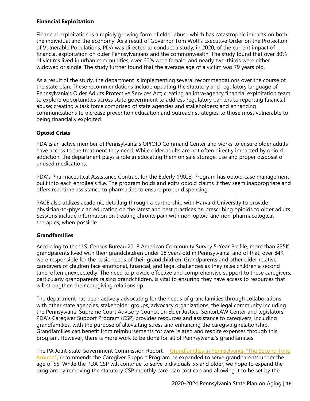#### **Financial Exploitation**

Financial exploitation is a rapidly growing form of elder abuse which has catastrophic impacts on both the individual and the economy. As a result of Governor Tom Wolf's Executive Order on the Protection of Vulnerable Populations, PDA was directed to conduct a study, in 2020, of the current impact of financial exploitation on older Pennsylvanians and the commonwealth. The study found that over 80% of victims lived in urban communities, over 60% were female, and nearly two-thirds were either widowed or single. The study further found that the average age of a victim was 79 years old.

As a result of the study, the department is implementing several recommendations over the course of the state plan. These recommendations include updating the statutory and regulatory language of Pennsylvania's Older Adults Protective Services Act; creating an intra-agency financial exploitation team to explore opportunities across state government to address regulatory barriers to reporting financial abuse; creating a task force comprised of state agencies and stakeholders; and enhancing communications to increase prevention education and outreach strategies to those most vulnerable to being financially exploited.

# **Opioid Crisis**

PDA is an active member of Pennsylvania's OPIOID Command Center and works to ensure older adults have access to the treatment they need. While older adults are not often directly impacted by opioid addiction, the department plays a role in educating them on safe storage, use and proper disposal of unused medications.

PDA's Pharmaceutical Assistance Contract for the Elderly (PACE) Program has opioid case management built into each enrollee's file. The program holds and edits opioid claims if they seem inappropriate and offers real-time assistance to pharmacies to ensure proper dispensing.

PACE also utilizes academic detailing through a partnership with Harvard University to provide physician-to-physician education on the latest and best practices on prescribing opioids to older adults. Sessions include information on treating chronic pain with non-opioid and non-pharmacological therapies, when possible.

# **Grandfamilies**

According to the U.S. Census Bureau 2018 American Community Survey 5-Year Profile, more than 235K grandparents lived with their grandchildren under 18 years old in Pennsylvania, and of that, over 84K were responsible for the basic needs of their grandchildren. Grandparents and other older relative caregivers of children face emotional, financial, and legal challenges as they raise children a second time, often unexpectedly. The need to provide effective and comprehensive support to these caregivers, particularly grandparents raising grandchildren, is vital to ensuring they have access to resources that will strengthen their caregiving relationship.

The department has been actively advocating for the needs of grandfamilies through collaborations with other state agencies, stakeholder groups, advocacy organizations, the legal community including the Pennsylvania Supreme Court Advisory Council on Elder Justice, SeniorLAW Center and legislators. PDA's Caregiver Support Program (CSP) provides resources and assistance to caregivers, including grandfamilies, with the purpose of alleviating stress and enhancing the caregiving relationship. Grandfamilies can benefit from reimbursements for care related and respite expenses through this program. However, there is more work to be done for all of Pennsylvania's grandfamilies.

The PA Joint State Government Commission Report, Grandfamilies in Pennsylvania: "The Second Time [Around",](http://jsg.legis.state.pa.us/resources/documents/ftp/publications/2019-04-30%20GRANDFAMILIES%20Updated%20Report%205.1.19.pdf) recommends the Caregiver Support Program be expanded to serve grandparents under the age of 55. While the PDA CSP will continue to serve individuals 55 and older, we hope to expand the program by removing the statutory CSP monthly care plan cost cap and allowing it to be set by the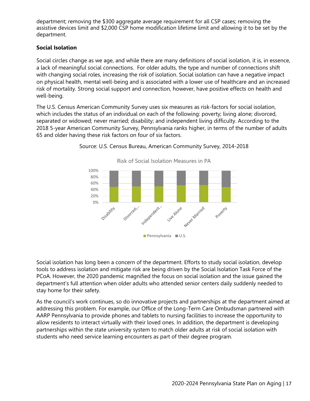department; removing the \$300 aggregate average requirement for all CSP cases; removing the assistive devices limit and \$2,000 CSP home modification lifetime limit and allowing it to be set by the department.

# **Social Isolation**

Social circles change as we age, and while there are many definitions of social isolation, it is, in essence, a lack of meaningful social connections. For older adults, the type and number of connections shift with changing social roles, increasing the risk of isolation. Social isolation can have a negative impact on physical health, mental well-being and is associated with a lower use of healthcare and an increased risk of mortality. Strong social support and connection, however, have positive effects on health and well-being.

The U.S. Census American Community Survey uses six measures as risk-factors for social isolation, which includes the status of an individual on each of the following: poverty; living alone; divorced, separated or widowed; never married; disability; and independent living difficulty. According to the 2018 5-year American Community Survey, Pennsylvania ranks higher, in terms of the number of adults 65 and older having these risk factors on four of six factors.



Source: U.S. Census Bureau, American Community Survey, 2014-2018

Social isolation has long been a concern of the department. Efforts to study social isolation, develop tools to address isolation and mitigate risk are being driven by the Social Isolation Task Force of the PCoA. However, the 2020 pandemic magnified the focus on social isolation and the issue gained the department's full attention when older adults who attended senior centers daily suddenly needed to stay home for their safety.

As the council's work continues, so do innovative projects and partnerships at the department aimed at addressing this problem. For example, our Office of the Long-Term Care Ombudsman partnered with AARP Pennsylvania to provide phones and tablets to nursing facilities to increase the opportunity to allow residents to interact virtually with their loved ones. In addition, the department is developing partnerships within the state university system to match older adults at risk of social isolation with students who need service learning encounters as part of their degree program.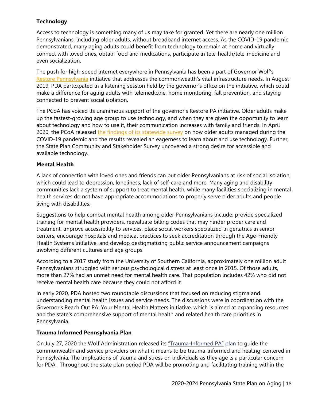# **Technology**

Access to technology is something many of us may take for granted. Yet there are nearly one million Pennsylvanians, including older adults, without broadband internet access. As the COVID-19 pandemic demonstrated, many aging adults could benefit from technology to remain at home and virtually connect with loved ones, obtain food and medications, participate in tele-health/tele-medicine and even socialization.

The push for high-speed internet everywhere in Pennsylvania has been a part of Governor Wolf's [Restore Pennsylvania](https://www.governor.pa.gov/restore-pennsylvania/) initiative that addresses the commonwealth's vital infrastructure needs. In August 2019, PDA participated in a listening session held by the governor's office on the initiative, which could make a difference for aging adults with telemedicine, home monitoring, fall prevention, and staying connected to prevent social isolation.

The PCoA has voiced its unanimous support of the governor's Restore PA initiative. Older adults make up the fastest-growing age group to use technology, and when they are given the opportunity to learn about technology and how to use it, their communication increases with family and friends. In April 2020, the PCoA released [the findings of its statewide survey](https://www.aging.pa.gov/organization/pa-council-on-aging/Documents/State%20of%20Older%20Adults%20During%20COVID/PCoA%20State%20of%20Older%20Adults%20During%20COVID-19%20Report.pdf) on how older adults managed during the COVID-19 pandemic and the results revealed an eagerness to learn about and use technology. Further, the State Plan Community and Stakeholder Survey uncovered a strong desire for accessible and available technology.

#### **Mental Health**

A lack of connection with loved ones and friends can put older Pennsylvanians at risk of social isolation, which could lead to depression, loneliness, lack of self-care and more. Many aging and disability communities lack a system of support to treat mental health, while many facilities specializing in mental health services do not have appropriate accommodations to properly serve older adults and people living with disabilities.

Suggestions to help combat mental health among older Pennsylvanians include: provide specialized training for mental health providers, reevaluate billing codes that may hinder proper care and treatment, improve accessibility to services, place social workers specialized in geriatrics in senior centers, encourage hospitals and medical practices to seek accreditation through the Age-Friendly Health Systems initiative, and develop destigmatizing public service announcement campaigns involving different cultures and age groups.

According to a 2017 study from the University of Southern California, approximately one million adult Pennsylvanians struggled with serious psychological distress at least once in 2015. Of those adults, more than 27% had an unmet need for mental health care. That population includes 42% who did not receive mental health care because they could not afford it.

In early 2020, PDA hosted two roundtable discussions that focused on reducing stigma and understanding mental health issues and service needs. The discussions were in coordination with the Governor's Reach Out PA: Your Mental Health Matters initiative, which is aimed at expanding resources and the state's comprehensive support of mental health and related health care priorities in Pennsylvania.

#### **Trauma Informed Pennsylvania Plan**

On July 27, 2020 the Wolf Administration released its ["Trauma-Informed PA"](https://www.scribd.com/document/470553274/2020-Trauma-Informed-PA-Plan?secret_password=AcWbQ2CvooqQQ8w20WZO) plan to quide the commonwealth and service providers on what it means to be trauma-informed and healing-centered in Pennsylvania. The implications of trauma and stress on individuals as they age is a particular concern for PDA. Throughout the state plan period PDA will be promoting and facilitating training within the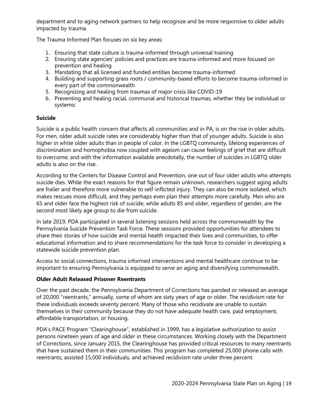department and to aging network partners to help recognize and be more responsive to older adults impacted by trauma.

The Trauma Informed Plan focuses on six key areas:

- 1. Ensuring that state culture is trauma-informed through universal training
- 2. Ensuring state agencies' policies and practices are trauma-informed and more focused on prevention and healing
- 3. Mandating that all licensed and funded entities become trauma-informed
- 4. Building and supporting grass roots / community-based efforts to become trauma-informed in every part of the commonwealth
- 5. Recognizing and healing from traumas of major crisis like COVID-19
- 6. Preventing and healing racial, communal and historical traumas, whether they be individual or systemic

# **Suicide**

Suicide is a public health concern that affects all communities and in PA, is on the rise in older adults. For men, older adult suicide rates are considerably higher than that of younger adults. Suicide is also higher in white older adults than in people of color. In the LGBTQ community, lifelong experiences of discrimination and homophobia now coupled with ageism can cause feelings of grief that are difficult to overcome; and with the information available anecdotally, the number of suicides in LGBTQ older adults is also on the rise.

According to the Centers for Disease Control and Prevention, one out of four older adults who attempts suicide dies. While the exact reasons for that figure remain unknown, researchers suggest aging adults are frailer and therefore more vulnerable to self-inflicted injury. They can also be more isolated, which makes rescues more difficult, and they perhaps even plan their attempts more carefully. Men who are 65 and older face the highest risk of suicide, while adults 85 and older, regardless of gender, are the second most likely age group to die from suicide.

In late 2019, PDA participated in several listening sessions held across the commonwealth by the Pennsylvania Suicide Prevention Task Force. These sessions provided opportunities for attendees to share their stories of how suicide and mental health impacted their lives and communities, to offer educational information and to share recommendations for the task force to consider in developing a statewide suicide prevention plan.

Access to social connections, trauma informed interventions and mental healthcare continue to be important to ensuring Pennsylvania is equipped to serve an aging and diversifying commonwealth.

# **Older Adult Released Prisoner Reentrants**

Over the past decade, the Pennsylvania Department of Corrections has paroled or released an average of 20,000 "reentrants," annually, some of whom are sixty years of age or older. The recidivism rate for these individuals exceeds seventy percent. Many of those who recidivate are unable to sustain themselves in their community because they do not have adequate health care, paid employment, affordable transportation, or housing.

PDA's PACE Program "Clearinghouse", established in 1999, has a legislative authorization to assist persons nineteen years of age and older in these circumstances. Working closely with the Department of Corrections, since January 2015, the Clearinghouse has provided critical resources to many reentrants that have sustained them in their communities. This program has completed 25,000 phone calls with reentrants, assisted 15,000 individuals, and achieved recidivism rate under three percent.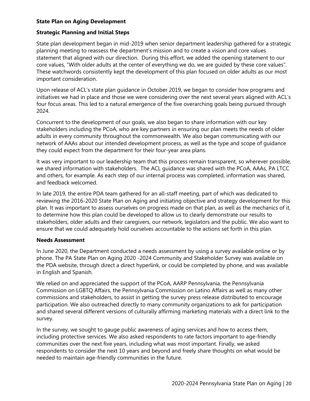# **State Plan on Aging Development**

#### **Strategic Planning and Initial Steps**

State plan development began in mid-2019 when senior department leadership gathered for a strategic planning meeting to reassess the department's mission and to create a vision and core values statement that aligned with our direction. During this effort, we added the opening statement to our core values, "With older adults at the center of everything we do, we are guided by these core values". These watchwords consistently kept the development of this plan focused on older adults as our most important consideration.

Upon release of ACL's state plan guidance in October 2019, we began to consider how programs and initiatives we had in place and those we were considering over the next several years aligned with ACL's four focus areas. This led to a natural emergence of the five overarching goals being pursued through 2024.

Concurrent to the development of our goals, we also began to share information with our key stakeholders including the PCoA, who are key partners in ensuring our plan meets the needs of older adults in every community throughout the commonwealth. We also began communicating with our network of AAAs about our intended development process, as well as the type and scope of guidance they could expect from the department for their four-year area plans.

It was very important to our leadership team that this process remain transparent, so wherever possible, we shared information with stakeholders. The ACL guidance was shared with the PCoA, AAAs, PA LTCC and others, for example. As each step of our internal process was completed, information was shared, and feedback welcomed.

In late 2019, the entire PDA team gathered for an all-staff meeting, part of which was dedicated to reviewing the 2016-2020 State Plan on Aging and initiating objective and strategy development for this plan. It was important to assess ourselves on progress made on that plan, as well as the mechanics of it, to determine how this plan could be developed to allow us to clearly demonstrate our results to stakeholders, older adults and their caregivers, our network, legislators and the public. We also want to ensure that we could adequately hold ourselves accountable to the actions set forth in this plan.

#### **Needs Assessment**

In June 2020, the Department conducted a needs assessment by using a survey available online or by phone. The PA State Plan on Aging 2020 -2024 Community and Stakeholder Survey was available on the PDA website, through direct a direct hyperlink, or could be completed by phone, and was available in English and Spanish.

We relied on and appreciated the support of the PCoA, AARP Pennsylvania, the Pennsylvania Commission on LGBTQ Affairs, the Pennsylvania Commission on Latino Affairs as well as many other commissions and stakeholders, to assist in getting the survey press release distributed to encourage participation. We also outreached directly to many community organizations to ask for participation and shared several different versions of culturally affirming marketing materials with a direct link to the survey.

In the survey, we sought to gauge public awareness of aging services and how to access them, including protective services. We also asked respondents to rate factors important to age-friendly communities over the next five years, including what was most important. Finally, we asked respondents to consider the next 10 years and beyond and freely share thoughts on what would be needed to maintain age-friendly communities in the future.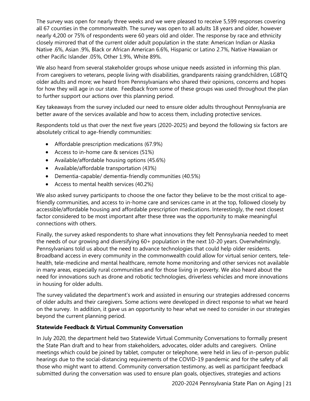The survey was open for nearly three weeks and we were pleased to receive 5,599 responses covering all 67 counties in the commonwealth. The survey was open to all adults 18 years and older, however nearly 4,200 or 75% of respondents were 60 years old and older. The response by race and ethnicity closely mirrored that of the current older adult population in the state: American Indian or Alaska Native .6%, Asian .9%, Black or African American 6.6%, Hispanic or Latino 2.7%, Native Hawaiian or other Pacific Islander .05%, Other 1.9%, White 89%.

We also heard from several stakeholder groups whose unique needs assisted in informing this plan. From caregivers to veterans, people living with disabilities, grandparents raising grandchildren, LGBTQ older adults and more; we heard from Pennsylvanians who shared their opinions, concerns and hopes for how they will age in our state. Feedback from some of these groups was used throughout the plan to further support our actions over this planning period.

Key takeaways from the survey included our need to ensure older adults throughout Pennsylvania are better aware of the services available and how to access them, including protective services.

Respondents told us that over the next five years (2020-2025) and beyond the following six factors are absolutely critical to age-friendly communities:

- Affordable prescription medications (67.9%)
- Access to in-home care & services (51%)
- Available/affordable housing options (45.6%)
- Available/affordable transportation (43%)
- Dementia-capable/ dementia-friendly communities (40.5%)
- Access to mental health services (40.2%)

We also asked survey participants to choose the one factor they believe to be the most critical to agefriendly communities, and access to in-home care and services came in at the top, followed closely by accessible/affordable housing and affordable prescription medications. Interestingly, the next closest factor considered to be most important after these three was the opportunity to make meaningful connections with others.

Finally, the survey asked respondents to share what innovations they felt Pennsylvania needed to meet the needs of our growing and diversifying 60+ population in the next 10-20 years. Overwhelmingly, Pennsylvanians told us about the need to advance technologies that could help older residents. Broadband access in every community in the commonwealth could allow for virtual senior centers, telehealth, tele-medicine and mental healthcare, remote home monitoring and other services not available in many areas, especially rural communities and for those living in poverty. We also heard about the need for innovations such as drone and robotic technologies, driverless vehicles and more innovations in housing for older adults.

The survey validated the department's work and assisted in ensuring our strategies addressed concerns of older adults and their caregivers. Some actions were developed in direct response to what we heard on the survey. In addition, it gave us an opportunity to hear what we need to consider in our strategies beyond the current planning period.

# **Statewide Feedback & Virtual Community Conversation**

In July 2020, the department held two Statewide Virtual Community Conversations to formally present the State Plan draft and to hear from stakeholders, advocates, older adults and caregivers. Online meetings which could be joined by tablet, computer or telephone, were held in lieu of in-person public hearings due to the social-distancing requirements of the COVID-19 pandemic and for the safety of all those who might want to attend. Community conversation testimony, as well as participant feedback submitted during the conversation was used to ensure plan goals, objectives, strategies and actions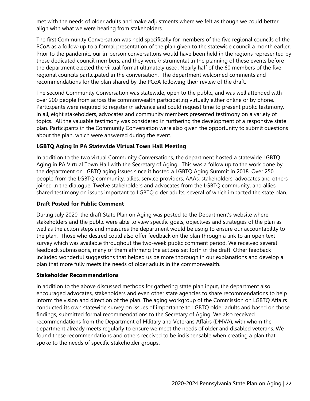met with the needs of older adults and make adjustments where we felt as though we could better align with what we were hearing from stakeholders.

The first Community Conversation was held specifically for members of the five regional councils of the PCoA as a follow-up to a formal presentation of the plan given to the statewide council a month earlier. Prior to the pandemic, our in-person conversations would have been held in the regions represented by these dedicated council members, and they were instrumental in the planning of these events before the department elected the virtual format ultimately used. Nearly half of the 60 members of the five regional councils participated in the conversation. The department welcomed comments and recommendations for the plan shared by the PCoA following their review of the draft.

The second Community Conversation was statewide, open to the public, and was well attended with over 200 people from across the commonwealth participating virtually either online or by phone. Participants were required to register in advance and could request time to present public testimony. In all, eight stakeholders, advocates and community members presented testimony on a variety of topics. All the valuable testimony was considered in furthering the development of a responsive state plan. Participants in the Community Conversation were also given the opportunity to submit questions about the plan, which were answered during the event.

# **LGBTQ Aging in PA Statewide Virtual Town Hall Meeting**

In addition to the two virtual Community Conversations, the department hosted a statewide LGBTQ Aging in PA Virtual Town Hall with the Secretary of Aging. This was a follow up to the work done by the department on LGBTQ aging issues since it hosted a LGBTQ Aging Summit in 2018. Over 250 people from the LGBTQ community, allies, service providers, AAAs, stakeholders, advocates and others joined in the dialogue. Twelve stakeholders and advocates from the LGBTQ community, and allies shared testimony on issues important to LGBTQ older adults, several of which impacted the state plan.

# **Draft Posted for Public Comment**

During July 2020, the draft State Plan on Aging was posted to the Department's website where stakeholders and the public were able to view specific goals, objectives and strategies of the plan as well as the action steps and measures the department would be using to ensure our accountability to the plan. Those who desired could also offer feedback on the plan through a link to an open text survey which was available throughout the two-week public comment period. We received several feedback submissions, many of them affirming the actions set forth in the draft. Other feedback included wonderful suggestions that helped us be more thorough in our explanations and develop a plan that more fully meets the needs of older adults in the commonwealth.

#### **Stakeholder Recommendations**

In addition to the above discussed methods for gathering state plan input, the department also encouraged advocates, stakeholders and even other state agencies to share recommendations to help inform the vision and direction of the plan. The aging workgroup of the Commission on LGBTQ Affairs conducted its own statewide survey on issues of importance to LGBTQ older adults and based on those findings, submitted formal recommendations to the Secretary of Aging. We also received recommendations from the Department of Military and Veterans Affairs (DMVA), with whom the department already meets regularly to ensure we meet the needs of older and disabled veterans. We found these recommendations and others received to be indispensable when creating a plan that spoke to the needs of specific stakeholder groups.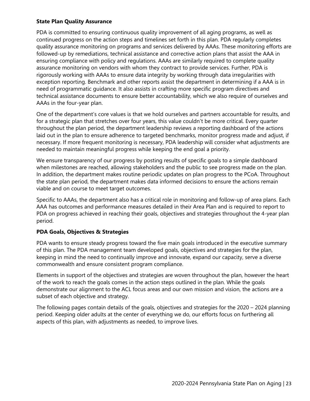#### **State Plan Quality Assurance**

PDA is committed to ensuring continuous quality improvement of all aging programs, as well as continued progress on the action steps and timelines set forth in this plan. PDA regularly completes quality assurance monitoring on programs and services delivered by AAAs. These monitoring efforts are followed-up by remediations, technical assistance and corrective action plans that assist the AAA in ensuring compliance with policy and regulations. AAAs are similarly required to complete quality assurance monitoring on vendors with whom they contract to provide services. Further, PDA is rigorously working with AAAs to ensure data integrity by working through data irregularities with exception reporting. Benchmark and other reports assist the department in determining if a AAA is in need of programmatic guidance. It also assists in crafting more specific program directives and technical assistance documents to ensure better accountability, which we also require of ourselves and AAAs in the four-year plan.

One of the department's core values is that we hold ourselves and partners accountable for results, and for a strategic plan that stretches over four years, this value couldn't be more critical. Every quarter throughout the plan period, the department leadership reviews a reporting dashboard of the actions laid out in the plan to ensure adherence to targeted benchmarks, monitor progress made and adjust, if necessary. If more frequent monitoring is necessary, PDA leadership will consider what adjustments are needed to maintain meaningful progress while keeping the end goal a priority.

We ensure transparency of our progress by posting results of specific goals to a simple dashboard when milestones are reached, allowing stakeholders and the public to see progress made on the plan. In addition, the department makes routine periodic updates on plan progress to the PCoA. Throughout the state plan period, the department makes data informed decisions to ensure the actions remain viable and on course to meet target outcomes.

Specific to AAAs, the department also has a critical role in monitoring and follow-up of area plans. Each AAA has outcomes and performance measures detailed in their Area Plan and is required to report to PDA on progress achieved in reaching their goals, objectives and strategies throughout the 4-year plan period.

# **PDA Goals, Objectives & Strategies**

PDA wants to ensure steady progress toward the five main goals introduced in the executive summary of this plan. The PDA management team developed goals, objectives and strategies for the plan, keeping in mind the need to continually improve and innovate, expand our capacity, serve a diverse commonwealth and ensure consistent program compliance.

Elements in support of the objectives and strategies are woven throughout the plan, however the heart of the work to reach the goals comes in the action steps outlined in the plan. While the goals demonstrate our alignment to the ACL focus areas and our own mission and vision, the actions are a subset of each objective and strategy.

The following pages contain details of the goals, objectives and strategies for the 2020 – 2024 planning period. Keeping older adults at the center of everything we do, our efforts focus on furthering all aspects of this plan, with adjustments as needed, to improve lives.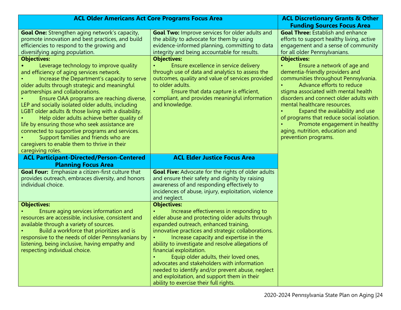| <b>ACL Older Americans Act Core Programs Focus Area</b>                                                                                                                                                                                                                                                                                                                                                                                                                                                                                                                                                                                          |                                                                                                                                                                                                                                                                                                                                                                                                                                                                                                                                                          | <b>ACL Discretionary Grants &amp; Other</b>                                                                                                                                                                                                                                                                                                                                                                                        |
|--------------------------------------------------------------------------------------------------------------------------------------------------------------------------------------------------------------------------------------------------------------------------------------------------------------------------------------------------------------------------------------------------------------------------------------------------------------------------------------------------------------------------------------------------------------------------------------------------------------------------------------------------|----------------------------------------------------------------------------------------------------------------------------------------------------------------------------------------------------------------------------------------------------------------------------------------------------------------------------------------------------------------------------------------------------------------------------------------------------------------------------------------------------------------------------------------------------------|------------------------------------------------------------------------------------------------------------------------------------------------------------------------------------------------------------------------------------------------------------------------------------------------------------------------------------------------------------------------------------------------------------------------------------|
|                                                                                                                                                                                                                                                                                                                                                                                                                                                                                                                                                                                                                                                  |                                                                                                                                                                                                                                                                                                                                                                                                                                                                                                                                                          | <b>Funding Sources Focus Area</b>                                                                                                                                                                                                                                                                                                                                                                                                  |
| <b>Goal One:</b> Strengthen aging network's capacity,<br>promote innovation and best practices, and build<br>efficiencies to respond to the growing and<br>diversifying aging population.                                                                                                                                                                                                                                                                                                                                                                                                                                                        | <b>Goal Two: Improve services for older adults and</b><br>the ability to advocate for them by using<br>evidence-informed planning, committing to data<br>integrity and being accountable for results.                                                                                                                                                                                                                                                                                                                                                    | <b>Goal Three: Establish and enhance</b><br>efforts to support healthy living, active<br>engagement and a sense of community<br>for all older Pennsylvanians.                                                                                                                                                                                                                                                                      |
| <b>Objectives:</b>                                                                                                                                                                                                                                                                                                                                                                                                                                                                                                                                                                                                                               | <b>Objectives:</b>                                                                                                                                                                                                                                                                                                                                                                                                                                                                                                                                       | <b>Objectives:</b>                                                                                                                                                                                                                                                                                                                                                                                                                 |
| Leverage technology to improve quality<br>and efficiency of aging services network.<br>Increase the Department's capacity to serve<br>older adults through strategic and meaningful<br>partnerships and collaborations.<br>Ensure OAA programs are reaching diverse,<br>LEP and socially isolated older adults, including<br>LGBT older adults & those living with a disability.<br>Help older adults achieve better quality of<br>life by ensuring those who seek assistance are<br>connected to supportive programs and services.<br>Support families and friends who are<br>caregivers to enable them to thrive in their<br>caregiving roles. | Ensure excellence in service delivery<br>through use of data and analytics to assess the<br>outcomes, quality and value of services provided<br>to older adults.<br>Ensure that data capture is efficient,<br>compliant, and provides meaningful information<br>and knowledge.                                                                                                                                                                                                                                                                           | Ensure a network of age and<br>dementia-friendly providers and<br>communities throughout Pennsylvania.<br>Advance efforts to reduce<br>stigma associated with mental health<br>disorders and connect older adults with<br>mental healthcare resources.<br>Expand the availability and use<br>of programs that reduce social isolation.<br>Promote engagement in healthy<br>aging, nutrition, education and<br>prevention programs. |
| <b>ACL Participant-Directed/Person-Centered</b><br><b>Planning Focus Area</b>                                                                                                                                                                                                                                                                                                                                                                                                                                                                                                                                                                    | <b>ACL Elder Justice Focus Area</b>                                                                                                                                                                                                                                                                                                                                                                                                                                                                                                                      |                                                                                                                                                                                                                                                                                                                                                                                                                                    |
| <b>Goal Four:</b> Emphasize a citizen-first culture that<br>provides outreach, embraces diversity, and honors<br>individual choice.                                                                                                                                                                                                                                                                                                                                                                                                                                                                                                              | <b>Goal Five:</b> Advocate for the rights of older adults<br>and ensure their safety and dignity by raising<br>awareness of and responding effectively to<br>incidences of abuse, injury, exploitation, violence<br>and neglect.                                                                                                                                                                                                                                                                                                                         |                                                                                                                                                                                                                                                                                                                                                                                                                                    |
| <b>Objectives:</b>                                                                                                                                                                                                                                                                                                                                                                                                                                                                                                                                                                                                                               | <b>Objectives:</b>                                                                                                                                                                                                                                                                                                                                                                                                                                                                                                                                       |                                                                                                                                                                                                                                                                                                                                                                                                                                    |
| Ensure aging services information and<br>resources are accessible, inclusive, consistent and<br>available through a variety of sources.<br>Build a workforce that prioritizes and is<br>responsive to the needs of older Pennsylvanians by<br>listening, being inclusive, having empathy and<br>respecting individual choice.                                                                                                                                                                                                                                                                                                                    | Increase effectiveness in responding to<br>elder abuse and protecting older adults through<br>expanded outreach, enhanced training,<br>innovative practices and strategic collaborations.<br>Increase capacity and expertise in the<br>ability to investigate and resolve allegations of<br>financial exploitation.<br>Equip older adults, their loved ones,<br>advocates and stakeholders with information<br>needed to identify and/or prevent abuse, neglect<br>and exploitation, and support them in their<br>ability to exercise their full rights. |                                                                                                                                                                                                                                                                                                                                                                                                                                    |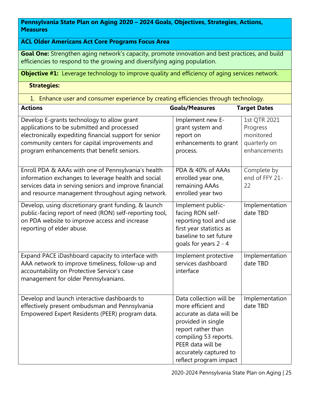**Pennsylvania State Plan on Aging 2020 – 2024 Goals, Objectives, Strategies, Actions, Measures** 

# **ACL Older Americans Act Core Programs Focus Area**

**Goal One:** Strengthen aging network's capacity, promote innovation and best practices, and build efficiencies to respond to the growing and diversifying aging population.

**Objective #1:** Leverage technology to improve quality and efficiency of aging services network.

 **Strategies:** 

1. Enhance user and consumer experience by creating efficiencies through technology.

| <b>Actions</b>                                          | <b>Goals/Measures</b>    | <b>Target Dates</b> |
|---------------------------------------------------------|--------------------------|---------------------|
| Develop E-grants technology to allow grant              | Implement new E-         | 1st QTR 2021        |
| applications to be submitted and processed              | grant system and         | Progress            |
| electronically expediting financial support for senior  | report on                | monitored           |
| community centers for capital improvements and          | enhancements to grant    | quarterly on        |
| program enhancements that benefit seniors.              | process.                 | enhancements        |
|                                                         |                          |                     |
| Enroll PDA & AAAs with one of Pennsylvania's health     | PDA & 40% of AAAs        | Complete by         |
| information exchanges to leverage health and social     | enrolled year one,       | end of FFY 21-      |
| services data in serving seniors and improve financial  | remaining AAAs           | 22                  |
| and resource management throughout aging network.       | enrolled year two        |                     |
| Develop, using discretionary grant funding, & launch    | Implement public-        | Implementation      |
| public-facing report of need (RON) self-reporting tool, | facing RON self-         | date TBD            |
| on PDA website to improve access and increase           | reporting tool and use   |                     |
| reporting of elder abuse.                               | first year statistics as |                     |
|                                                         | baseline to set future   |                     |
|                                                         | goals for years 2 - 4    |                     |
| Expand PACE iDashboard capacity to interface with       | Implement protective     | Implementation      |
| AAA network to improve timeliness, follow-up and        | services dashboard       | date TBD            |
| accountability on Protective Service's case             | interface                |                     |
| management for older Pennsylvanians.                    |                          |                     |
|                                                         |                          |                     |
| Develop and launch interactive dashboards to            | Data collection will be  | Implementation      |
| effectively present ombudsman and Pennsylvania          | more efficient and       | date TBD            |
| Empowered Expert Residents (PEER) program data.         | accurate as data will be |                     |
|                                                         | provided in single       |                     |
|                                                         | report rather than       |                     |
|                                                         | compiling 53 reports.    |                     |
|                                                         | PEER data will be        |                     |
|                                                         | accurately captured to   |                     |
|                                                         | reflect program impact   |                     |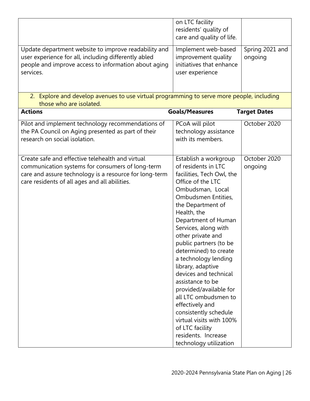| Update department website to improve readability and<br>user experience for all, including differently abled<br>people and improve access to information about aging<br>services.                               | on LTC facility<br>residents' quality of<br>care and quality of life.<br>Implement web-based<br>improvement quality<br>initiatives that enhance<br>user experience                                                                                                                                                                                                                                                                                                                                                                                                                           | Spring 2021 and<br>ongoing |
|-----------------------------------------------------------------------------------------------------------------------------------------------------------------------------------------------------------------|----------------------------------------------------------------------------------------------------------------------------------------------------------------------------------------------------------------------------------------------------------------------------------------------------------------------------------------------------------------------------------------------------------------------------------------------------------------------------------------------------------------------------------------------------------------------------------------------|----------------------------|
| 2. Explore and develop avenues to use virtual programming to serve more people, including<br>those who are isolated.                                                                                            |                                                                                                                                                                                                                                                                                                                                                                                                                                                                                                                                                                                              |                            |
| <b>Actions</b>                                                                                                                                                                                                  | <b>Goals/Measures</b>                                                                                                                                                                                                                                                                                                                                                                                                                                                                                                                                                                        | <b>Target Dates</b>        |
| Pilot and implement technology recommendations of<br>the PA Council on Aging presented as part of their<br>research on social isolation.                                                                        | PCoA will pilot<br>technology assistance<br>with its members.                                                                                                                                                                                                                                                                                                                                                                                                                                                                                                                                | October 2020               |
| Create safe and effective telehealth and virtual<br>communication systems for consumers of long-term<br>care and assure technology is a resource for long-term<br>care residents of all ages and all abilities. | Establish a workgroup<br>of residents in LTC<br>facilities, Tech Owl, the<br>Office of the LTC<br>Ombudsman, Local<br>Ombudsmen Entities,<br>the Department of<br>Health, the<br>Department of Human<br>Services, along with<br>other private and<br>public partners (to be<br>determined) to create<br>a technology lending<br>library, adaptive<br>devices and technical<br>assistance to be<br>provided/available for<br>all LTC ombudsmen to<br>effectively and<br>consistently schedule<br>virtual visits with 100%<br>of LTC facility<br>residents. Increase<br>technology utilization | October 2020<br>ongoing    |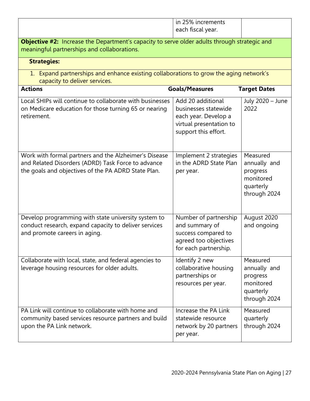|                                                                                                                                                                    | in 25% increments                                                                                                    |                                                                                |
|--------------------------------------------------------------------------------------------------------------------------------------------------------------------|----------------------------------------------------------------------------------------------------------------------|--------------------------------------------------------------------------------|
|                                                                                                                                                                    | each fiscal year.                                                                                                    |                                                                                |
| <b>Objective #2:</b> Increase the Department's capacity to serve older adults through strategic and<br>meaningful partnerships and collaborations.                 |                                                                                                                      |                                                                                |
| <b>Strategies:</b>                                                                                                                                                 |                                                                                                                      |                                                                                |
| 1. Expand partnerships and enhance existing collaborations to grow the aging network's<br>capacity to deliver services.                                            |                                                                                                                      |                                                                                |
| <b>Actions</b>                                                                                                                                                     | <b>Goals/Measures</b>                                                                                                | <b>Target Dates</b>                                                            |
| Local SHIPs will continue to collaborate with businesses<br>on Medicare education for those turning 65 or nearing<br>retirement.                                   | Add 20 additional<br>businesses statewide<br>each year. Develop a<br>virtual presentation to<br>support this effort. | July 2020 - June<br>2022                                                       |
| Work with formal partners and the Alzheimer's Disease<br>and Related Disorders (ADRD) Task Force to advance<br>the goals and objectives of the PA ADRD State Plan. | Implement 2 strategies<br>in the ADRD State Plan<br>per year.                                                        | Measured<br>annually and<br>progress<br>monitored<br>quarterly<br>through 2024 |
| Develop programming with state university system to<br>conduct research, expand capacity to deliver services<br>and promote careers in aging.                      | Number of partnership<br>and summary of<br>success compared to<br>agreed too objectives<br>for each partnership.     | August 2020<br>and ongoing                                                     |
| Collaborate with local, state, and federal agencies to<br>leverage housing resources for older adults.                                                             | Identify 2 new<br>collaborative housing<br>partnerships or<br>resources per year.                                    | Measured<br>annually and<br>progress<br>monitored<br>quarterly<br>through 2024 |
| PA Link will continue to collaborate with home and<br>community based services resource partners and build<br>upon the PA Link network.                            | Increase the PA Link<br>statewide resource<br>network by 20 partners<br>per year.                                    | Measured<br>quarterly<br>through 2024                                          |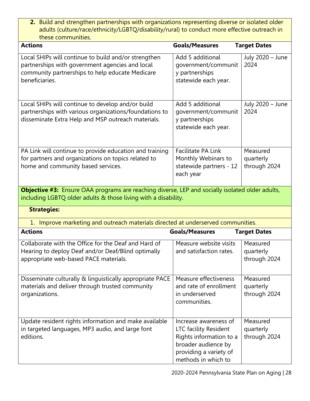**2.** Build and strengthen partnerships with organizations representing diverse or isolated older adults (culture/race/ethnicity/LGBTQ/disability/rural) to conduct more effective outreach in these communities.

| <b>Actions</b>                                                                                                                                                               | <b>Goals/Measures</b>                                                                                                                                    | <b>Target Dates</b>                   |
|------------------------------------------------------------------------------------------------------------------------------------------------------------------------------|----------------------------------------------------------------------------------------------------------------------------------------------------------|---------------------------------------|
| Local SHIPs will continue to build and/or strengthen<br>partnerships with government agencies and local<br>community partnerships to help educate Medicare<br>beneficiaries. | Add 5 additional<br>government/communit<br>y partnerships<br>statewide each year.                                                                        | July 2020 - June<br>2024              |
| Local SHIPs will continue to develop and/or build<br>partnerships with various organizations/foundations to<br>disseminate Extra Help and MSP outreach materials.            | Add 5 additional<br>government/communit<br>y partnerships<br>statewide each year.                                                                        | July 2020 - June<br>2024              |
| PA Link will continue to provide education and training<br>for partners and organizations on topics related to<br>home and community based services.                         | <b>Facilitate PA Link</b><br>Monthly Webinars to<br>statewide partners - 12<br>each year                                                                 | Measured<br>quarterly<br>through 2024 |
| <b>Objective #3:</b> Ensure OAA programs are reaching diverse, LEP and socially isolated older adults,<br>including LGBTQ older adults & those living with a disability.     |                                                                                                                                                          |                                       |
| <b>Strategies:</b>                                                                                                                                                           |                                                                                                                                                          |                                       |
| 1. Improve marketing and outreach materials directed at underserved communities.                                                                                             |                                                                                                                                                          |                                       |
| <b>Actions</b>                                                                                                                                                               | <b>Goals/Measures</b>                                                                                                                                    | <b>Target Dates</b>                   |
| Collaborate with the Office for the Deaf and Hard of<br>Hearing to deploy Deaf and/or Deaf/Blind optimally<br>appropriate web-based PACE materials.                          | Measure website visits<br>and satisfaction rates.                                                                                                        | Measured<br>quarterly<br>through 2024 |
| Disseminate culturally & linguistically appropriate PACE<br>materials and deliver through trusted community<br>organizations.                                                | Measure effectiveness<br>and rate of enrollment<br>in underserved<br>communities.                                                                        | Measured<br>quarterly<br>through 2024 |
| Update resident rights information and make available<br>in targeted languages, MP3 audio, and large font<br>editions.                                                       | Increase awareness of<br><b>LTC facility Resident</b><br>Rights information to a<br>broader audience by<br>providing a variety of<br>methods in which to | Measured<br>quarterly<br>through 2024 |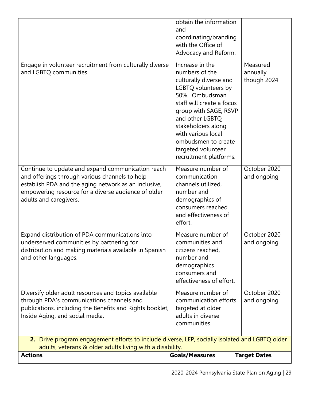| adults and caregivers.                                                                                                                                                                           | demographics of<br>consumers reached<br>and effectiveness of                                                                         |                             |
|--------------------------------------------------------------------------------------------------------------------------------------------------------------------------------------------------|--------------------------------------------------------------------------------------------------------------------------------------|-----------------------------|
|                                                                                                                                                                                                  | effort.                                                                                                                              |                             |
| Expand distribution of PDA communications into<br>underserved communities by partnering for<br>distribution and making materials available in Spanish<br>and other languages.                    | Measure number of<br>communities and<br>citizens reached,<br>number and<br>demographics<br>consumers and<br>effectiveness of effort. | October 2020<br>and ongoing |
| Diversify older adult resources and topics available<br>through PDA's communications channels and<br>publications, including the Benefits and Rights booklet,<br>Inside Aging, and social media. | Measure number of<br>communication efforts<br>targeted at older<br>adults in diverse<br>communities.                                 | October 2020<br>and ongoing |
| 2. Drive program engagement efforts to include diverse, LEP, socially isolated and LGBTQ older<br>adults, veterans & older adults living with a disability.                                      |                                                                                                                                      |                             |
| <b>Actions</b>                                                                                                                                                                                   | <b>Goals/Measures</b>                                                                                                                | <b>Target Dates</b>         |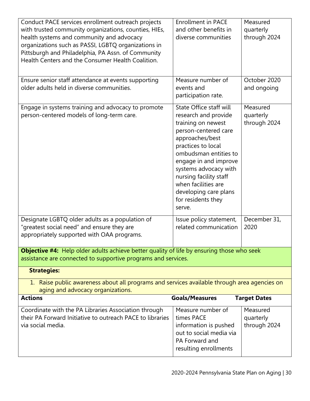| Conduct PACE services enrollment outreach projects<br>with trusted community organizations, counties, HIEs,<br>health systems and community and advocacy<br>organizations such as PASSI, LGBTQ organizations in<br>Pittsburgh and Philadelphia, PA Assn. of Community<br>Health Centers and the Consumer Health Coalition. | <b>Enrollment in PACE</b><br>and other benefits in<br>diverse communities                                                                                                                                                                                                                                                          | Measured<br>quarterly<br>through 2024 |
|----------------------------------------------------------------------------------------------------------------------------------------------------------------------------------------------------------------------------------------------------------------------------------------------------------------------------|------------------------------------------------------------------------------------------------------------------------------------------------------------------------------------------------------------------------------------------------------------------------------------------------------------------------------------|---------------------------------------|
| Ensure senior staff attendance at events supporting<br>older adults held in diverse communities.                                                                                                                                                                                                                           | Measure number of<br>events and<br>participation rate.                                                                                                                                                                                                                                                                             | October 2020<br>and ongoing           |
| Engage in systems training and advocacy to promote<br>person-centered models of long-term care.                                                                                                                                                                                                                            | <b>State Office staff will</b><br>research and provide<br>training on newest<br>person-centered care<br>approaches/best<br>practices to local<br>ombudsman entities to<br>engage in and improve<br>systems advocacy with<br>nursing facility staff<br>when facilities are<br>developing care plans<br>for residents they<br>serve. | Measured<br>quarterly<br>through 2024 |
| Designate LGBTQ older adults as a population of<br>"greatest social need" and ensure they are<br>appropriately supported with OAA programs.                                                                                                                                                                                | Issue policy statement,<br>related communication                                                                                                                                                                                                                                                                                   | December 31,<br>2020                  |
| <b>Objective #4:</b> Help older adults achieve better quality of life by ensuring those who seek<br>assistance are connected to supportive programs and services.                                                                                                                                                          |                                                                                                                                                                                                                                                                                                                                    |                                       |
| <b>Strategies:</b>                                                                                                                                                                                                                                                                                                         |                                                                                                                                                                                                                                                                                                                                    |                                       |
| 1. Raise public awareness about all programs and services available through area agencies on<br>aging and advocacy organizations.                                                                                                                                                                                          |                                                                                                                                                                                                                                                                                                                                    |                                       |
| <b>Actions</b>                                                                                                                                                                                                                                                                                                             | <b>Goals/Measures</b>                                                                                                                                                                                                                                                                                                              | <b>Target Dates</b>                   |
| Coordinate with the PA Libraries Association through<br>their PA Forward Initiative to outreach PACE to libraries<br>via social media.                                                                                                                                                                                     | Measure number of<br>times PACE<br>information is pushed<br>out to social media via<br>PA Forward and<br>resulting enrollments                                                                                                                                                                                                     | Measured<br>quarterly<br>through 2024 |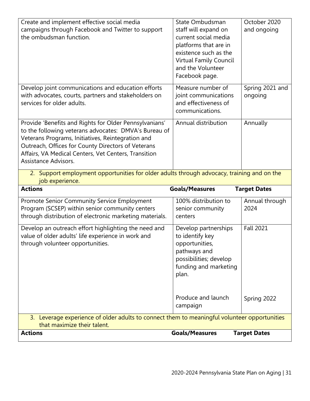| Create and implement effective social media<br>campaigns through Facebook and Twitter to support<br>the ombudsman function.                                                                                                                                                                                | State Ombudsman<br>staff will expand on<br>current social media<br>platforms that are in<br>existence such as the<br>Virtual Family Council | October 2020<br>and ongoing |
|------------------------------------------------------------------------------------------------------------------------------------------------------------------------------------------------------------------------------------------------------------------------------------------------------------|---------------------------------------------------------------------------------------------------------------------------------------------|-----------------------------|
|                                                                                                                                                                                                                                                                                                            | and the Volunteer<br>Facebook page.                                                                                                         |                             |
| Develop joint communications and education efforts<br>with advocates, courts, partners and stakeholders on<br>services for older adults.                                                                                                                                                                   | Measure number of<br>joint communications<br>and effectiveness of<br>communications.                                                        | Spring 2021 and<br>ongoing  |
| Provide 'Benefits and Rights for Older Pennsylvanians'<br>to the following veterans advocates: DMVA's Bureau of<br>Veterans Programs, Initiatives, Reintegration and<br>Outreach, Offices for County Directors of Veterans<br>Affairs, VA Medical Centers, Vet Centers, Transition<br>Assistance Advisors. | Annual distribution                                                                                                                         | Annually                    |
| 2. Support employment opportunities for older adults through advocacy, training and on the                                                                                                                                                                                                                 |                                                                                                                                             |                             |
| job experience.                                                                                                                                                                                                                                                                                            |                                                                                                                                             |                             |
| <b>Actions</b>                                                                                                                                                                                                                                                                                             | <b>Goals/Measures</b>                                                                                                                       | <b>Target Dates</b>         |
| Promote Senior Community Service Employment<br>Program (SCSEP) within senior community centers<br>through distribution of electronic marketing materials.                                                                                                                                                  | 100% distribution to<br>senior community<br>centers                                                                                         | Annual through<br>2024      |
| Develop an outreach effort highlighting the need and<br>value of older adults' life experience in work and<br>through volunteer opportunities.                                                                                                                                                             | Develop partnerships<br>to identify key<br>opportunities,<br>pathways and<br>possibilities; develop<br>funding and marketing<br>plan.       | <b>Fall 2021</b>            |
|                                                                                                                                                                                                                                                                                                            | Produce and launch<br>campaign                                                                                                              | Spring 2022                 |
| 3. Leverage experience of older adults to connect them to meaningful volunteer opportunities<br>that maximize their talent.                                                                                                                                                                                |                                                                                                                                             |                             |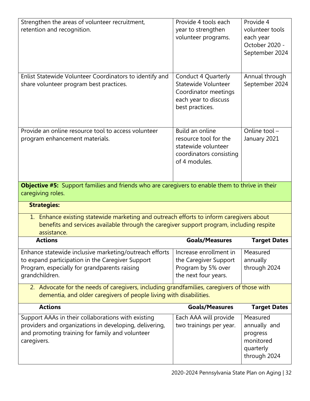| Strengthen the areas of volunteer recruitment,<br>retention and recognition.                                                                                                                       | Provide 4 tools each<br>year to strengthen<br>volunteer programs.                                                  | Provide 4<br>volunteer tools<br>each year<br>October 2020 -<br>September 2024 |
|----------------------------------------------------------------------------------------------------------------------------------------------------------------------------------------------------|--------------------------------------------------------------------------------------------------------------------|-------------------------------------------------------------------------------|
| Enlist Statewide Volunteer Coordinators to identify and<br>share volunteer program best practices.                                                                                                 | Conduct 4 Quarterly<br>Statewide Volunteer<br>Coordinator meetings<br>each year to discuss<br>best practices.      | Annual through<br>September 2024                                              |
| Provide an online resource tool to access volunteer<br>program enhancement materials.                                                                                                              | <b>Build an online</b><br>resource tool for the<br>statewide volunteer<br>coordinators consisting<br>of 4 modules. | Online tool $-$<br>January 2021                                               |
| Objective #5: Support families and friends who are caregivers to enable them to thrive in their<br>caregiving roles.                                                                               |                                                                                                                    |                                                                               |
| <b>Strategies:</b>                                                                                                                                                                                 |                                                                                                                    |                                                                               |
| 1. Enhance existing statewide marketing and outreach efforts to inform caregivers about<br>benefits and services available through the caregiver support program, including respite<br>assistance. |                                                                                                                    |                                                                               |
| <b>Actions</b>                                                                                                                                                                                     | <b>Goals/Measures</b>                                                                                              | <b>Target Dates</b>                                                           |
| Enhance statewide inclusive marketing/outreach efforts<br>to expand participation in the Caregiver Support<br>Program, especially for grandparents raising<br>grandchildren.                       | Increase enrollment in<br>the Caregiver Support<br>Program by 5% over<br>the next four years.                      | Measured<br>annually<br>through 2024                                          |
| 2. Advocate for the needs of caregivers, including grandfamilies, caregivers of those with<br>dementia, and older caregivers of people living with disabilities.                                   |                                                                                                                    |                                                                               |
| <b>Actions</b>                                                                                                                                                                                     | <b>Goals/Measures</b>                                                                                              | <b>Target Dates</b>                                                           |
| Support AAAs in their collaborations with existing<br>providers and organizations in developing, delivering,<br>and promoting training for family and volunteer<br>caregivers.                     | Each AAA will provide<br>two trainings per year.                                                                   | Measured<br>annually and<br>progress                                          |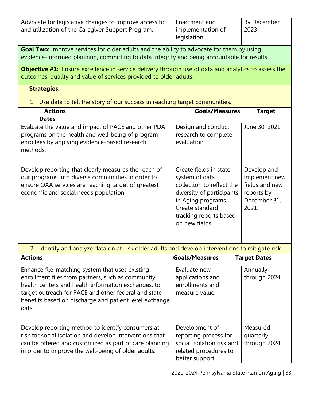| Advocate for legislative changes to improve access to | Enactment and     | By December |
|-------------------------------------------------------|-------------------|-------------|
| and utilization of the Caregiver Support Program.     | implementation of | 2023        |
|                                                       | legislation       |             |

**Goal Two:** Improve services for older adults and the ability to advocate for them by using evidence-informed planning, committing to data integrity and being accountable for results.

**Objective #1:** Ensure excellence in service delivery through use of data and analytics to assess the outcomes, quality and value of services provided to older adults.

- **Strategies:**
- 1. Use data to tell the story of our success in reaching target communities.

| <b>Actions</b>                                                                                                                                                                                            | <b>Goals/Measures</b>                                                                                                                                                                   | <b>Target</b>                                                                         |
|-----------------------------------------------------------------------------------------------------------------------------------------------------------------------------------------------------------|-----------------------------------------------------------------------------------------------------------------------------------------------------------------------------------------|---------------------------------------------------------------------------------------|
| <b>Dates</b>                                                                                                                                                                                              |                                                                                                                                                                                         |                                                                                       |
| Evaluate the value and impact of PACE and other PDA<br>programs on the health and well-being of program<br>enrollees by applying evidence-based research<br>methods.                                      | Design and conduct<br>research to complete<br>evaluation.                                                                                                                               | June 30, 2021                                                                         |
| Develop reporting that clearly measures the reach of<br>our programs into diverse communities in order to<br>ensure OAA services are reaching target of greatest<br>economic and social needs population. | Create fields in state<br>system of data<br>collection to reflect the<br>diversity of participants<br>in Aging programs.<br>Create standard<br>tracking reports based<br>on new fields. | Develop and<br>implement new<br>fields and new<br>reports by<br>December 31,<br>2021. |

2. Identify and analyze data on at-risk older adults and develop interventions to mitigate risk.

| <b>Actions</b>                                                                                                                                                                                                                                                                         | <b>Goals/Measures</b>                                                                                           | <b>Target Dates</b>                   |
|----------------------------------------------------------------------------------------------------------------------------------------------------------------------------------------------------------------------------------------------------------------------------------------|-----------------------------------------------------------------------------------------------------------------|---------------------------------------|
| Enhance file-matching system that uses existing<br>enrollment files from partners, such as community<br>health centers and health information exchanges, to<br>target outreach for PACE and other federal and state<br>benefits based on discharge and patient level exchange<br>data. | Evaluate new<br>applications and<br>enrollments and<br>measure value.                                           | Annually<br>through 2024              |
| Develop reporting method to identify consumers at-<br>risk for social isolation and develop interventions that<br>can be offered and customized as part of care planning<br>in order to improve the well-being of older adults.                                                        | Development of<br>reporting process for<br>social isolation risk and<br>related procedures to<br>better support | Measured<br>quarterly<br>through 2024 |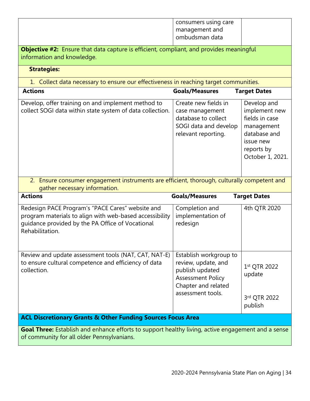|                                                                                                                                                                                    | consumers using care<br>management and<br>ombudsman data                                                                                 |                                                                                                                             |
|------------------------------------------------------------------------------------------------------------------------------------------------------------------------------------|------------------------------------------------------------------------------------------------------------------------------------------|-----------------------------------------------------------------------------------------------------------------------------|
| Objective #2: Ensure that data capture is efficient, compliant, and provides meaningful<br>information and knowledge.                                                              |                                                                                                                                          |                                                                                                                             |
| <b>Strategies:</b>                                                                                                                                                                 |                                                                                                                                          |                                                                                                                             |
| 1. Collect data necessary to ensure our effectiveness in reaching target communities.                                                                                              |                                                                                                                                          |                                                                                                                             |
| <b>Actions</b>                                                                                                                                                                     | <b>Goals/Measures</b>                                                                                                                    | <b>Target Dates</b>                                                                                                         |
| Develop, offer training on and implement method to<br>collect SOGI data within state system of data collection.                                                                    | Create new fields in<br>case management<br>database to collect<br>SOGI data and develop<br>relevant reporting.                           | Develop and<br>implement new<br>fields in case<br>management<br>database and<br>issue new<br>reports by<br>October 1, 2021. |
| 2. Ensure consumer engagement instruments are efficient, thorough, culturally competent and<br>gather necessary information.                                                       |                                                                                                                                          |                                                                                                                             |
| <b>Actions</b>                                                                                                                                                                     | <b>Goals/Measures</b>                                                                                                                    | <b>Target Dates</b>                                                                                                         |
| Redesign PACE Program's "PACE Cares" website and<br>program materials to align with web-based accessibility<br>guidance provided by the PA Office of Vocational<br>Rehabilitation. | Completion and<br>implementation of<br>redesign                                                                                          | 4th QTR 2020                                                                                                                |
| Review and update assessment tools (NAT, CAT, NAT-E)<br>to ensure cultural competence and efficiency of data<br>collection.                                                        | Establish workgroup to<br>review, update, and<br>publish updated<br><b>Assessment Policy</b><br>Chapter and related<br>assessment tools. | 1st QTR 2022<br>update<br>3rd QTR 2022<br>publish                                                                           |
| <b>ACL Discretionary Grants &amp; Other Funding Sources Focus Area</b>                                                                                                             |                                                                                                                                          |                                                                                                                             |
| Goal Three: Establish and enhance efforts to support healthy living, active engagement and a sense<br>of community for all older Pennsylvanians.                                   |                                                                                                                                          |                                                                                                                             |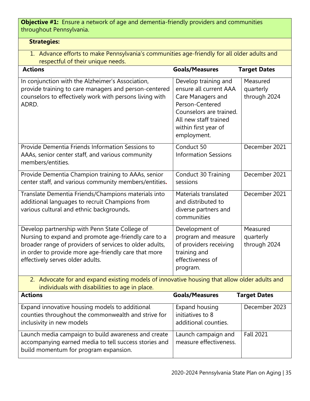**Objective #1:** Ensure a network of age and dementia-friendly providers and communities throughout Pennsylvania.

# **Strategies:**

1. Advance efforts to make Pennsylvania's communities age-friendly for all older adults and respectful of their unique needs.

| <b>Actions</b>                                                                                                                                                                                                                                                | <b>Goals/Measures</b>                                                                                                                                                             | <b>Target Dates</b>                   |
|---------------------------------------------------------------------------------------------------------------------------------------------------------------------------------------------------------------------------------------------------------------|-----------------------------------------------------------------------------------------------------------------------------------------------------------------------------------|---------------------------------------|
| In conjunction with the Alzheimer's Association,<br>provide training to care managers and person-centered<br>counselors to effectively work with persons living with<br>ADRD.                                                                                 | Develop training and<br>ensure all current AAA<br>Care Managers and<br>Person-Centered<br>Counselors are trained.<br>All new staff trained<br>within first year of<br>employment. | Measured<br>quarterly<br>through 2024 |
| Provide Dementia Friends Information Sessions to<br>AAAs, senior center staff, and various community<br>members/entities.                                                                                                                                     | Conduct 50<br><b>Information Sessions</b>                                                                                                                                         | December 2021                         |
| Provide Dementia Champion training to AAAs, senior<br>center staff, and various community members/entities.                                                                                                                                                   | Conduct 30 Training<br>sessions                                                                                                                                                   | December 2021                         |
| Translate Dementia Friends/Champions materials into<br>additional languages to recruit Champions from<br>various cultural and ethnic backgrounds.                                                                                                             | Materials translated<br>and distributed to<br>diverse partners and<br>communities                                                                                                 | December 2021                         |
| Develop partnership with Penn State College of<br>Nursing to expand and promote age-friendly care to a<br>broader range of providers of services to older adults,<br>in order to provide more age-friendly care that more<br>effectively serves older adults. | Development of<br>program and measure<br>of providers receiving<br>training and<br>effectiveness of<br>program.                                                                   | Measured<br>quarterly<br>through 2024 |
| 2. Advocate for and expand existing models of innovative housing that allow older adults and<br>individuals with disabilities to age in place.                                                                                                                |                                                                                                                                                                                   |                                       |
| <b>Actions</b>                                                                                                                                                                                                                                                | <b>Goals/Measures</b>                                                                                                                                                             | <b>Target Dates</b>                   |
| Expand innovative housing models to additional<br>counties throughout the commonwealth and strive for<br>inclusivity in new models                                                                                                                            | <b>Expand housing</b><br>initiatives to 8<br>additional counties.                                                                                                                 | December 2023                         |
| Launch media campaign to build awareness and create<br>accompanying earned media to tell success stories and<br>build momentum for program expansion.                                                                                                         | Launch campaign and<br>measure effectiveness.                                                                                                                                     | <b>Fall 2021</b>                      |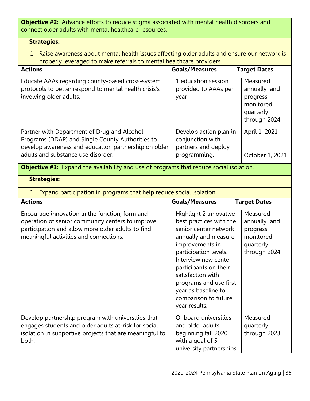**Objective #2:** Advance efforts to reduce stigma associated with mental health disorders and connect older adults with mental healthcare resources.

# **Strategies:**

1. Raise awareness about mental health issues affecting older adults and ensure our network is properly leveraged to make referrals to mental healthcare providers.

| <b>Actions</b>                                                                                                                                                                                    | <b>Goals/Measures</b>                                                                                                                                                                                                                                                                                           | <b>Target Dates</b>                                                            |
|---------------------------------------------------------------------------------------------------------------------------------------------------------------------------------------------------|-----------------------------------------------------------------------------------------------------------------------------------------------------------------------------------------------------------------------------------------------------------------------------------------------------------------|--------------------------------------------------------------------------------|
| Educate AAAs regarding county-based cross-system<br>protocols to better respond to mental health crisis's<br>involving older adults.                                                              | 1 education session<br>provided to AAAs per<br>year                                                                                                                                                                                                                                                             | Measured<br>annually and<br>progress<br>monitored<br>quarterly<br>through 2024 |
| Partner with Department of Drug and Alcohol<br>Programs (DDAP) and Single County Authorities to<br>develop awareness and education partnership on older<br>adults and substance use disorder.     | Develop action plan in<br>conjunction with<br>partners and deploy<br>programming.                                                                                                                                                                                                                               | April 1, 2021<br>October 1, 2021                                               |
| <b>Objective #3:</b> Expand the availability and use of programs that reduce social isolation.                                                                                                    |                                                                                                                                                                                                                                                                                                                 |                                                                                |
| <b>Strategies:</b>                                                                                                                                                                                |                                                                                                                                                                                                                                                                                                                 |                                                                                |
| 1. Expand participation in programs that help reduce social isolation.                                                                                                                            |                                                                                                                                                                                                                                                                                                                 |                                                                                |
| <b>Actions</b>                                                                                                                                                                                    | <b>Goals/Measures</b>                                                                                                                                                                                                                                                                                           | <b>Target Dates</b>                                                            |
| Encourage innovation in the function, form and<br>operation of senior community centers to improve<br>participation and allow more older adults to find<br>meaningful activities and connections. | Highlight 2 innovative<br>best practices with the<br>senior center network<br>annually and measure<br>improvements in<br>participation levels.<br>Interview new center<br>participants on their<br>satisfaction with<br>programs and use first<br>year as baseline for<br>comparison to future<br>year results. | Measured<br>annually and<br>progress<br>monitored<br>quarterly<br>through 2024 |
| Develop partnership program with universities that<br>engages students and older adults at-risk for social<br>isolation in supportive projects that are meaningful to<br>both.                    | Onboard universities<br>and older adults<br>beginning fall 2020<br>with a goal of 5<br>university partnerships                                                                                                                                                                                                  | Measured<br>quarterly<br>through 2023                                          |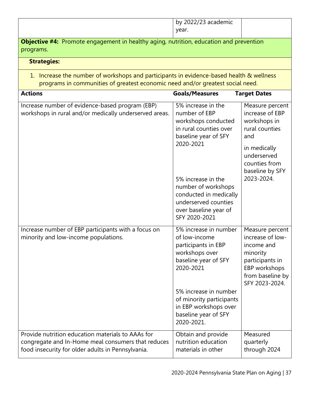|                                                                                                                                                                            | by 2022/23 academic                                                                                                                                                                                                                                                |                                                                                                                                                              |
|----------------------------------------------------------------------------------------------------------------------------------------------------------------------------|--------------------------------------------------------------------------------------------------------------------------------------------------------------------------------------------------------------------------------------------------------------------|--------------------------------------------------------------------------------------------------------------------------------------------------------------|
|                                                                                                                                                                            | year.                                                                                                                                                                                                                                                              |                                                                                                                                                              |
| <b>Objective #4:</b> Promote engagement in healthy aging, nutrition, education and prevention<br>programs.                                                                 |                                                                                                                                                                                                                                                                    |                                                                                                                                                              |
| <b>Strategies:</b>                                                                                                                                                         |                                                                                                                                                                                                                                                                    |                                                                                                                                                              |
| 1. Increase the number of workshops and participants in evidence-based health & wellness<br>programs in communities of greatest economic need and/or greatest social need. |                                                                                                                                                                                                                                                                    |                                                                                                                                                              |
| <b>Actions</b>                                                                                                                                                             | <b>Goals/Measures</b>                                                                                                                                                                                                                                              | <b>Target Dates</b>                                                                                                                                          |
| Increase number of evidence-based program (EBP)<br>workshops in rural and/or medically underserved areas.                                                                  | 5% increase in the<br>number of EBP<br>workshops conducted<br>in rural counties over<br>baseline year of SFY<br>2020-2021<br>5% increase in the<br>number of workshops<br>conducted in medically<br>underserved counties<br>over baseline year of<br>SFY 2020-2021 | Measure percent<br>increase of EBP<br>workshops in<br>rural counties<br>and<br>in medically<br>underserved<br>counties from<br>baseline by SFY<br>2023-2024. |
| Increase number of EBP participants with a focus on<br>minority and low-income populations.                                                                                | 5% increase in number<br>of low-income<br>participants in EBP<br>workshops over<br>baseline year of SFY<br>2020-2021<br>5% increase in number<br>of minority participants<br>in EBP workshops over<br>baseline year of SFY<br>2020-2021.                           | Measure percent<br>increase of low-<br>income and<br>minority<br>participants in<br>EBP workshops<br>from baseline by<br>SFY 2023-2024.                      |
| Provide nutrition education materials to AAAs for<br>congregate and In-Home meal consumers that reduces<br>food insecurity for older adults in Pennsylvania.               | Obtain and provide<br>nutrition education<br>materials in other                                                                                                                                                                                                    | Measured<br>quarterly<br>through 2024                                                                                                                        |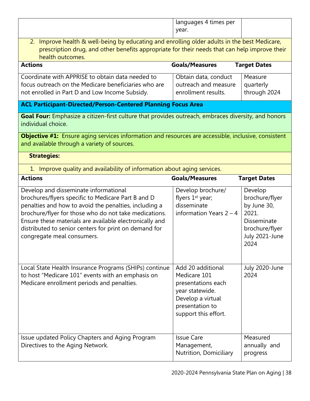|                                                                                                                                                                                                                                                                                                                                                                 | languages 4 times per<br>year.                                                                                                                                  |                                                                                                              |  |
|-----------------------------------------------------------------------------------------------------------------------------------------------------------------------------------------------------------------------------------------------------------------------------------------------------------------------------------------------------------------|-----------------------------------------------------------------------------------------------------------------------------------------------------------------|--------------------------------------------------------------------------------------------------------------|--|
| 2. Improve health & well-being by educating and enrolling older adults in the best Medicare,<br>prescription drug, and other benefits appropriate for their needs that can help improve their<br>health outcomes.                                                                                                                                               |                                                                                                                                                                 |                                                                                                              |  |
| <b>Actions</b>                                                                                                                                                                                                                                                                                                                                                  | <b>Goals/Measures</b>                                                                                                                                           | <b>Target Dates</b>                                                                                          |  |
| Coordinate with APPRISE to obtain data needed to<br>focus outreach on the Medicare beneficiaries who are<br>not enrolled in Part D and Low Income Subsidy.                                                                                                                                                                                                      | Obtain data, conduct<br>outreach and measure<br>enrollment results.                                                                                             | Measure<br>quarterly<br>through 2024                                                                         |  |
| <b>ACL Participant-Directed/Person-Centered Planning Focus Area</b>                                                                                                                                                                                                                                                                                             |                                                                                                                                                                 |                                                                                                              |  |
| Goal Four: Emphasize a citizen-first culture that provides outreach, embraces diversity, and honors<br>individual choice.                                                                                                                                                                                                                                       |                                                                                                                                                                 |                                                                                                              |  |
| Objective #1: Ensure aging services information and resources are accessible, inclusive, consistent<br>and available through a variety of sources.                                                                                                                                                                                                              |                                                                                                                                                                 |                                                                                                              |  |
| <b>Strategies:</b>                                                                                                                                                                                                                                                                                                                                              |                                                                                                                                                                 |                                                                                                              |  |
| 1. Improve quality and availability of information about aging services.                                                                                                                                                                                                                                                                                        |                                                                                                                                                                 |                                                                                                              |  |
| <b>Actions</b>                                                                                                                                                                                                                                                                                                                                                  | <b>Goals/Measures</b>                                                                                                                                           | <b>Target Dates</b>                                                                                          |  |
| Develop and disseminate informational<br>brochures/flyers specific to Medicare Part B and D<br>penalties and how to avoid the penalties, including a<br>brochure/flyer for those who do not take medications.<br>Ensure these materials are available electronically and<br>distributed to senior centers for print on demand for<br>congregate meal consumers. | Develop brochure/<br>flyers 1 <sup>st</sup> year;<br>disseminate<br>information Years $2 - 4$                                                                   | Develop<br>brochure/flyer<br>by June 30,<br>2021.<br>Disseminate<br>brochure/flyer<br>July 2021-June<br>2024 |  |
|                                                                                                                                                                                                                                                                                                                                                                 |                                                                                                                                                                 |                                                                                                              |  |
| Local State Health Insurance Programs (SHIPs) continue<br>to host "Medicare 101" events with an emphasis on<br>Medicare enrollment periods and penalties.                                                                                                                                                                                                       | Add 20 additional<br>Medicare 101<br>presentations each<br>year statewide.<br>Develop a virtual<br>presentation to<br>support this effort.<br><b>Issue Care</b> | July 2020-June<br>2024                                                                                       |  |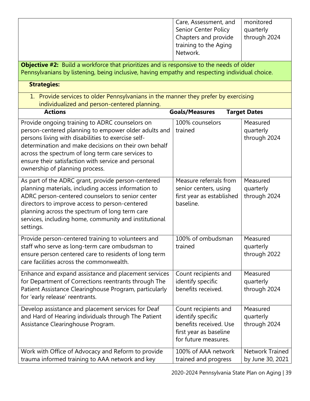| Objective #2: Build a workforce that prioritizes and is responsive to the needs of older<br>Pennsylvanians by listening, being inclusive, having empathy and respecting individual choice.<br><b>Strategies:</b><br>1. Provide services to older Pennsylvanians in the manner they prefer by exercising<br>individualized and person-centered planning.<br><b>Actions</b><br><b>Goals/Measures</b><br><b>Target Dates</b><br>Provide ongoing training to ADRC counselors on<br>100% counselors<br>Measured<br>person-centered planning to empower older adults and<br>trained<br>quarterly<br>persons living with disabilities to exercise self-<br>through 2024<br>determination and make decisions on their own behalf<br>across the spectrum of long term care services to<br>ensure their satisfaction with service and personal<br>ownership of planning process.<br>Measure referrals from<br>As part of the ADRC grant, provide person-centered<br>Measured<br>planning materials, including access information to<br>quarterly<br>senior centers, using<br>ADRC person-centered counselors to senior center<br>first year as established<br>through 2024<br>baseline.<br>directors to improve access to person-centered<br>planning across the spectrum of long term care<br>services, including home, community and institutional<br>settings.<br>Provide person-centered training to volunteers and<br>100% of ombudsman<br>Measured<br>staff who serve as long-term care ombudsman to<br>trained<br>quarterly<br>ensure person centered care to residents of long term<br>through 2022<br>care facilities across the commonwealth.<br>Enhance and expand assistance and placement services<br>Count recipients and<br>Measured<br>for Department of Corrections reentrants through The<br>identify specific<br>quarterly<br>Patient Assistance Clearinghouse Program, particularly<br>benefits received.<br>through 2024<br>for 'early release' reentrants.<br>Develop assistance and placement services for Deaf<br>Count recipients and<br>Measured<br>and Hard of Hearing individuals through The Patient<br>identify specific<br>quarterly<br>benefits received. Use<br>Assistance Clearinghouse Program.<br>through 2024<br>first year as baseline<br>for future measures.<br>Work with Office of Advocacy and Reform to provide<br><b>Network Trained</b><br>100% of AAA network |                                                 | Care, Assessment, and<br>Senior Center Policy<br>Chapters and provide<br>training to the Aging<br>Network. | monitored<br>quarterly<br>through 2024 |
|---------------------------------------------------------------------------------------------------------------------------------------------------------------------------------------------------------------------------------------------------------------------------------------------------------------------------------------------------------------------------------------------------------------------------------------------------------------------------------------------------------------------------------------------------------------------------------------------------------------------------------------------------------------------------------------------------------------------------------------------------------------------------------------------------------------------------------------------------------------------------------------------------------------------------------------------------------------------------------------------------------------------------------------------------------------------------------------------------------------------------------------------------------------------------------------------------------------------------------------------------------------------------------------------------------------------------------------------------------------------------------------------------------------------------------------------------------------------------------------------------------------------------------------------------------------------------------------------------------------------------------------------------------------------------------------------------------------------------------------------------------------------------------------------------------------------------------------------------------------------------------------------------------------------------------------------------------------------------------------------------------------------------------------------------------------------------------------------------------------------------------------------------------------------------------------------------------------------------------------------------------------------------------------------------------------------------------------------------------------------------------------------------|-------------------------------------------------|------------------------------------------------------------------------------------------------------------|----------------------------------------|
|                                                                                                                                                                                                                                                                                                                                                                                                                                                                                                                                                                                                                                                                                                                                                                                                                                                                                                                                                                                                                                                                                                                                                                                                                                                                                                                                                                                                                                                                                                                                                                                                                                                                                                                                                                                                                                                                                                                                                                                                                                                                                                                                                                                                                                                                                                                                                                                                   |                                                 |                                                                                                            |                                        |
|                                                                                                                                                                                                                                                                                                                                                                                                                                                                                                                                                                                                                                                                                                                                                                                                                                                                                                                                                                                                                                                                                                                                                                                                                                                                                                                                                                                                                                                                                                                                                                                                                                                                                                                                                                                                                                                                                                                                                                                                                                                                                                                                                                                                                                                                                                                                                                                                   |                                                 |                                                                                                            |                                        |
|                                                                                                                                                                                                                                                                                                                                                                                                                                                                                                                                                                                                                                                                                                                                                                                                                                                                                                                                                                                                                                                                                                                                                                                                                                                                                                                                                                                                                                                                                                                                                                                                                                                                                                                                                                                                                                                                                                                                                                                                                                                                                                                                                                                                                                                                                                                                                                                                   |                                                 |                                                                                                            |                                        |
|                                                                                                                                                                                                                                                                                                                                                                                                                                                                                                                                                                                                                                                                                                                                                                                                                                                                                                                                                                                                                                                                                                                                                                                                                                                                                                                                                                                                                                                                                                                                                                                                                                                                                                                                                                                                                                                                                                                                                                                                                                                                                                                                                                                                                                                                                                                                                                                                   |                                                 |                                                                                                            |                                        |
|                                                                                                                                                                                                                                                                                                                                                                                                                                                                                                                                                                                                                                                                                                                                                                                                                                                                                                                                                                                                                                                                                                                                                                                                                                                                                                                                                                                                                                                                                                                                                                                                                                                                                                                                                                                                                                                                                                                                                                                                                                                                                                                                                                                                                                                                                                                                                                                                   |                                                 |                                                                                                            |                                        |
|                                                                                                                                                                                                                                                                                                                                                                                                                                                                                                                                                                                                                                                                                                                                                                                                                                                                                                                                                                                                                                                                                                                                                                                                                                                                                                                                                                                                                                                                                                                                                                                                                                                                                                                                                                                                                                                                                                                                                                                                                                                                                                                                                                                                                                                                                                                                                                                                   |                                                 |                                                                                                            |                                        |
|                                                                                                                                                                                                                                                                                                                                                                                                                                                                                                                                                                                                                                                                                                                                                                                                                                                                                                                                                                                                                                                                                                                                                                                                                                                                                                                                                                                                                                                                                                                                                                                                                                                                                                                                                                                                                                                                                                                                                                                                                                                                                                                                                                                                                                                                                                                                                                                                   |                                                 |                                                                                                            |                                        |
|                                                                                                                                                                                                                                                                                                                                                                                                                                                                                                                                                                                                                                                                                                                                                                                                                                                                                                                                                                                                                                                                                                                                                                                                                                                                                                                                                                                                                                                                                                                                                                                                                                                                                                                                                                                                                                                                                                                                                                                                                                                                                                                                                                                                                                                                                                                                                                                                   |                                                 |                                                                                                            |                                        |
|                                                                                                                                                                                                                                                                                                                                                                                                                                                                                                                                                                                                                                                                                                                                                                                                                                                                                                                                                                                                                                                                                                                                                                                                                                                                                                                                                                                                                                                                                                                                                                                                                                                                                                                                                                                                                                                                                                                                                                                                                                                                                                                                                                                                                                                                                                                                                                                                   |                                                 |                                                                                                            |                                        |
|                                                                                                                                                                                                                                                                                                                                                                                                                                                                                                                                                                                                                                                                                                                                                                                                                                                                                                                                                                                                                                                                                                                                                                                                                                                                                                                                                                                                                                                                                                                                                                                                                                                                                                                                                                                                                                                                                                                                                                                                                                                                                                                                                                                                                                                                                                                                                                                                   | trauma informed training to AAA network and key | trained and progress                                                                                       | by June 30, 2021                       |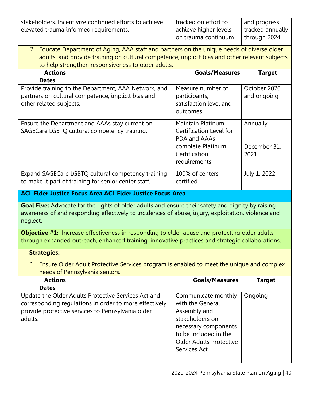| stakeholders. Incentivize continued efforts to achieve                                             | tracked on effort to                    | and progress     |
|----------------------------------------------------------------------------------------------------|-----------------------------------------|------------------|
| elevated trauma informed requirements.                                                             | achieve higher levels                   | tracked annually |
|                                                                                                    | on trauma continuum                     | through 2024     |
|                                                                                                    |                                         |                  |
| 2. Educate Department of Aging, AAA staff and partners on the unique needs of diverse older        |                                         |                  |
| adults, and provide training on cultural competence, implicit bias and other relevant subjects     |                                         |                  |
| to help strengthen responsiveness to older adults.                                                 |                                         |                  |
| <b>Actions</b>                                                                                     | <b>Goals/Measures</b>                   | <b>Target</b>    |
| <b>Dates</b>                                                                                       | Measure number of                       | October 2020     |
| Provide training to the Department, AAA Network, and                                               |                                         |                  |
| partners on cultural competence, implicit bias and<br>other related subjects.                      | participants,<br>satisfaction level and | and ongoing      |
|                                                                                                    | outcomes.                               |                  |
|                                                                                                    |                                         |                  |
| Ensure the Department and AAAs stay current on                                                     | Maintain Platinum                       | Annually         |
| SAGECare LGBTQ cultural competency training.                                                       | Certification Level for                 |                  |
|                                                                                                    | PDA and AAAs                            |                  |
|                                                                                                    | complete Platinum                       | December 31,     |
|                                                                                                    | Certification                           | 2021             |
|                                                                                                    | requirements.                           |                  |
| Expand SAGECare LGBTQ cultural competency training                                                 | 100% of centers                         | July 1, 2022     |
| to make it part of training for senior center staff.                                               | certified                               |                  |
|                                                                                                    |                                         |                  |
| <b>ACL Elder Justice Focus Area ACL Elder Justice Focus Area</b>                                   |                                         |                  |
|                                                                                                    |                                         |                  |
| Goal Five: Advocate for the rights of older adults and ensure their safety and dignity by raising  |                                         |                  |
| awareness of and responding effectively to incidences of abuse, injury, exploitation, violence and |                                         |                  |
| neglect.                                                                                           |                                         |                  |
|                                                                                                    |                                         |                  |
| Objective #1: Increase effectiveness in responding to elder abuse and protecting older adults      |                                         |                  |
| through expanded outreach, enhanced training, innovative practices and strategic collaborations.   |                                         |                  |
| <b>Strategies:</b>                                                                                 |                                         |                  |
|                                                                                                    |                                         |                  |
| 1. Ensure Older Adult Protective Services program is enabled to meet the unique and complex        |                                         |                  |
| needs of Pennsylvania seniors.<br><b>Actions</b>                                                   | <b>Goals/Measures</b>                   | <b>Target</b>    |
| <b>Dates</b>                                                                                       |                                         |                  |
| Update the Older Adults Protective Services Act and                                                | Communicate monthly                     | Ongoing          |
| corresponding regulations in order to more effectively                                             | with the General                        |                  |
| provide protective services to Pennsylvania older                                                  | Assembly and                            |                  |
| adults.                                                                                            | stakeholders on                         |                  |
|                                                                                                    | necessary components                    |                  |
|                                                                                                    | to be included in the                   |                  |
|                                                                                                    | <b>Older Adults Protective</b>          |                  |
|                                                                                                    | Services Act                            |                  |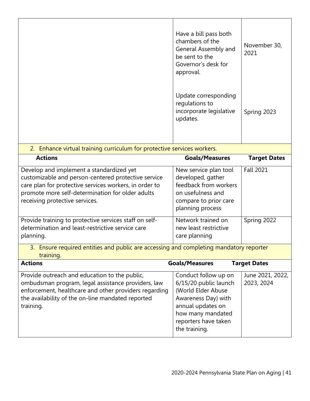|                                                                                                                                                                                                                                                 | Have a bill pass both<br>chambers of the<br>General Assembly and<br>be sent to the<br>Governor's desk for<br>approval.                                                        | November 30,<br>2021           |
|-------------------------------------------------------------------------------------------------------------------------------------------------------------------------------------------------------------------------------------------------|-------------------------------------------------------------------------------------------------------------------------------------------------------------------------------|--------------------------------|
|                                                                                                                                                                                                                                                 | Update corresponding<br>regulations to<br>incorporate legislative<br>updates.                                                                                                 | Spring 2023                    |
| 2. Enhance virtual training curriculum for protective services workers.                                                                                                                                                                         |                                                                                                                                                                               |                                |
| <b>Actions</b>                                                                                                                                                                                                                                  | <b>Goals/Measures</b>                                                                                                                                                         | <b>Target Dates</b>            |
| Develop and implement a standardized yet<br>customizable and person-centered protective service<br>care plan for protective services workers, in order to<br>promote more self-determination for older adults<br>receiving protective services. | New service plan tool<br>developed, gather<br>feedback from workers<br>on usefulness and<br>compare to prior care<br>planning process                                         | <b>Fall 2021</b>               |
| Provide training to protective services staff on self-<br>determination and least-restrictive service care<br>planning.                                                                                                                         | Network trained on<br>new least restrictive<br>care planning                                                                                                                  | Spring 2022                    |
| 3. Ensure required entities and public are accessing and completing mandatory reporter<br>training.                                                                                                                                             |                                                                                                                                                                               |                                |
| <b>Actions</b>                                                                                                                                                                                                                                  | <b>Goals/Measures</b>                                                                                                                                                         | <b>Target Dates</b>            |
| Provide outreach and education to the public,<br>ombudsman program, legal assistance providers, law<br>enforcement, healthcare and other providers regarding<br>the availability of the on-line mandated reported<br>training.                  | Conduct follow up on<br>6/15/20 public launch<br>(World Elder Abuse<br>Awareness Day) with<br>annual updates on<br>how many mandated<br>reporters have taken<br>the training. | June 2021, 2022,<br>2023, 2024 |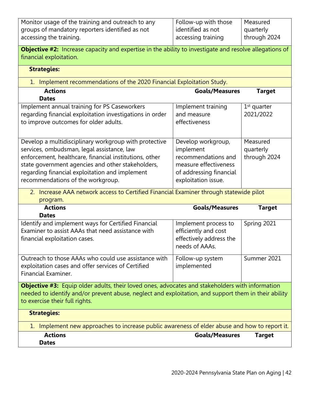| Monitor usage of the training and outreach to any                                                                                 | Follow-up with those    | Measured      |
|-----------------------------------------------------------------------------------------------------------------------------------|-------------------------|---------------|
| groups of mandatory reporters identified as not                                                                                   | identified as not       | quarterly     |
| accessing the training.                                                                                                           | accessing training      | through 2024  |
| Objective #2: Increase capacity and expertise in the ability to investigate and resolve allegations of<br>financial exploitation. |                         |               |
| <b>Strategies:</b>                                                                                                                |                         |               |
| 1. Implement recommendations of the 2020 Financial Exploitation Study.                                                            |                         |               |
| <b>Actions</b>                                                                                                                    | <b>Goals/Measures</b>   | <b>Target</b> |
| <b>Dates</b>                                                                                                                      |                         |               |
| Implement annual training for PS Caseworkers                                                                                      | Implement training      | $1st$ quarter |
| regarding financial exploitation investigations in order                                                                          | and measure             | 2021/2022     |
| to improve outcomes for older adults.                                                                                             | effectiveness           |               |
|                                                                                                                                   |                         |               |
| Develop a multidisciplinary workgroup with protective                                                                             | Develop workgroup,      | Measured      |
| services, ombudsman, legal assistance, law                                                                                        | implement               | quarterly     |
| enforcement, healthcare, financial institutions, other                                                                            | recommendations and     | through 2024  |
| state government agencies and other stakeholders,                                                                                 | measure effectiveness   |               |
| regarding financial exploitation and implement                                                                                    | of addressing financial |               |
| recommendations of the workgroup.                                                                                                 | exploitation issue.     |               |
| 2. Increase AAA network access to Certified Financial Examiner through statewide pilot                                            |                         |               |
| program.                                                                                                                          |                         |               |
| <b>Actions</b>                                                                                                                    | <b>Goals/Measures</b>   | <b>Target</b> |
| <b>Dates</b>                                                                                                                      |                         |               |
| Identify and implement ways for Certified Financial                                                                               | Implement process to    | Spring 2021   |
| Examiner to assist AAAs that need assistance with                                                                                 | efficiently and cost    |               |
| financial exploitation cases.                                                                                                     | effectively address the |               |
|                                                                                                                                   | needs of AAAs.          |               |
| Outreach to those AAAs who could use assistance with                                                                              | Follow-up system        | Summer 2021   |
| exploitation cases and offer services of Certified                                                                                | implemented             |               |
| Financial Examiner.                                                                                                               |                         |               |
| <b>Objective #3:</b> Equip older adults, their loved ones, advocates and stakeholders with information                            |                         |               |
| needed to identify and/or prevent abuse, neglect and exploitation, and support them in their ability                              |                         |               |
| to exercise their full rights.                                                                                                    |                         |               |
| <b>Strategies:</b>                                                                                                                |                         |               |
| 1. Implement new approaches to increase public awareness of elder abuse and how to report it.                                     |                         |               |
| <b>Actions</b>                                                                                                                    |                         |               |
| <b>Dates</b>                                                                                                                      | <b>Goals/Measures</b>   | <b>Target</b> |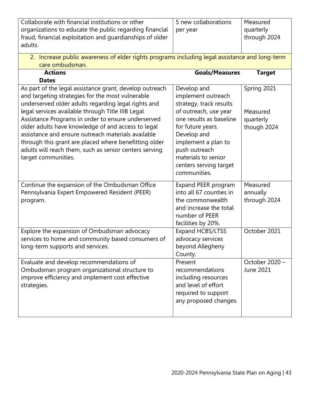| Collaborate with financial institutions or other                                               | 5 new collaborations    | Measured       |
|------------------------------------------------------------------------------------------------|-------------------------|----------------|
| organizations to educate the public regarding financial                                        | per year                | quarterly      |
| fraud, financial exploitation and guardianships of older                                       |                         | through 2024   |
| adults.                                                                                        |                         |                |
|                                                                                                |                         |                |
| 2. Increase public awareness of elder rights programs including legal assistance and long-term |                         |                |
| care ombudsman.                                                                                |                         |                |
| <b>Actions</b><br><b>Dates</b>                                                                 | <b>Goals/Measures</b>   | <b>Target</b>  |
| As part of the legal assistance grant, develop outreach                                        | Develop and             | Spring 2021    |
| and targeting strategies for the most vulnerable                                               | implement outreach      |                |
| underserved older adults regarding legal rights and                                            | strategy, track results |                |
| legal services available through Title IIIB Legal                                              | of outreach, use year   | Measured       |
| Assistance Programs in order to ensure underserved                                             | one results as baseline |                |
| older adults have knowledge of and access to legal                                             | for future years.       | quarterly      |
| assistance and ensure outreach materials available                                             | Develop and             | though 2024    |
| through this grant are placed where benefitting older                                          | implement a plan to     |                |
| adults will reach them, such as senior centers serving                                         | push outreach           |                |
| target communities.                                                                            | materials to senior     |                |
|                                                                                                | centers serving target  |                |
|                                                                                                | communities.            |                |
|                                                                                                |                         |                |
| Continue the expansion of the Ombudsman Office                                                 | Expand PEER program     | Measured       |
| Pennsylvania Expert Empowered Resident (PEER)                                                  | into all 67 counties in | annually       |
| program.                                                                                       | the commonwealth        | through 2024   |
|                                                                                                | and increase the total  |                |
|                                                                                                | number of PEER          |                |
|                                                                                                | facilities by 20%.      |                |
| Explore the expansion of Ombudsman advocacy                                                    | Expand HCBS/LTSS        | October 2021   |
| services to home and community based consumers of                                              | advocacy services       |                |
| long-term supports and services.                                                               | beyond Allegheny        |                |
|                                                                                                | County.                 |                |
| Evaluate and develop recommendations of                                                        | Present                 | October 2020 - |
| Ombudsman program organizational structure to                                                  | recommendations         | June 2021      |
| improve efficiency and implement cost effective                                                | including resources     |                |
| strategies.                                                                                    | and level of effort     |                |
|                                                                                                | required to support     |                |
|                                                                                                | any proposed changes.   |                |
|                                                                                                |                         |                |
|                                                                                                |                         |                |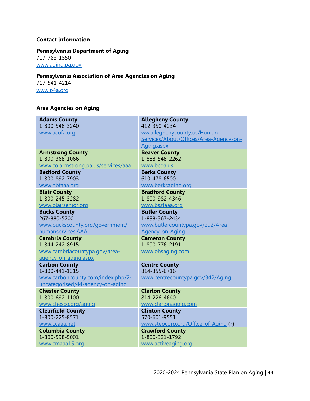#### **Contact information**

# **Pennsylvania Department of Aging**

717-783-1550

[www.aging.pa.gov](http://www.aging.pa.gov/)

# **Pennsylvania Association of Area Agencies on Aging**

717-541-4214 [www.p4a.org](http://www.p4a.org/)

# **Area Agencies on Aging**

| <b>Adams County</b>                        | <b>Allegheny County</b>                |
|--------------------------------------------|----------------------------------------|
| 1-800-548-3240                             | 412-350-4234                           |
| www.acofa.org                              | ww.alleghenycounty.us/Human-           |
|                                            | Services/About/Offices/Area-Agency-on- |
|                                            | Aging.aspx                             |
| <b>Armstrong County</b>                    | <b>Beaver County</b>                   |
| 1-800-368-1066                             | 1-888-548-2262                         |
| www.co.armstrong.pa.us/services/aaa        | www.bcoa.us                            |
| <b>Bedford County</b><br>1-800-892-7903    | <b>Berks County</b><br>610-478-6500    |
| www.hbfaaa.org                             | www.berksaging.org                     |
| <b>Blair County</b>                        | <b>Bradford County</b>                 |
| 1-800-245-3282                             | 1-800-982-4346                         |
| www.blairsenior.org                        | www.bsstaaa.org                        |
| <b>Bucks County</b>                        | <b>Butler County</b>                   |
| 267-880-5700                               | 1-888-367-2434                         |
| www.buckscounty.org/government/            | www.butlercountypa.gov/292/Area-       |
| humanservices.AAA                          | Agency-on-Aging                        |
| <b>Cambria County</b>                      | <b>Cameron County</b>                  |
| 1-844-242-8915                             | 1-800-776-2191                         |
|                                            |                                        |
| www.cambriacountypa.gov/area-              | www.ohsaging.com                       |
| agency-on-aging.aspx                       |                                        |
| <b>Carbon County</b>                       | <b>Centre County</b>                   |
| 1-800-441-1315                             | 814-355-6716                           |
| www.carboncounty.com/index.php/2-          | www.centrecountypa.gov/342/Aging       |
| uncategorised/44-agency-on-aging           |                                        |
| <b>Chester County</b>                      | <b>Clarion County</b>                  |
| 1-800-692-1100                             | 814-226-4640                           |
| www.chesco.org/aging                       | www.clarionaging.com                   |
| <b>Clearfield County</b><br>1-800-225-8571 | <b>Clinton County</b><br>570-601-9551  |
| www.ccaaa.net                              | www.stepcorp.org/Office of Aging (?)   |
| <b>Columbia County</b>                     | <b>Crawford County</b>                 |
| 1-800-598-5001<br>www.cmaaa15.org          | 1-800-321-1792<br>www.activeaging.org  |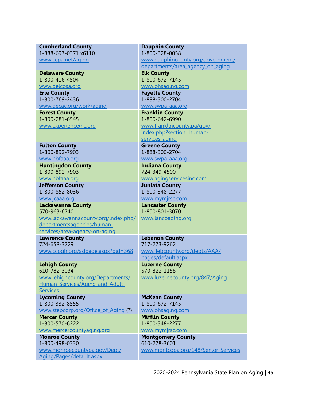| <b>Cumberland County</b>                                    | <b>Dauphin County</b>                |
|-------------------------------------------------------------|--------------------------------------|
| 1-888-697-0371 x6110                                        | 1-800-328-0058                       |
| www.ccpa.net/aging                                          | www.dauphincounty.org/government/    |
|                                                             | departments/area_agency_on_aging     |
| <b>Delaware County</b>                                      | <b>Elk County</b>                    |
| 1-800-416-4504                                              | 1-800-672-7145                       |
| www.delcosa.org                                             | www.ohsaging.com                     |
| <b>Erie County</b>                                          | <b>Fayette County</b>                |
| 1-800-769-2436                                              | 1-888-300-2704                       |
| www.gecac.org/work/aging                                    | www.swpa-aaa.org                     |
| <b>Forest County</b>                                        | <b>Franklin County</b>               |
| 1-800-281-6545                                              | 1-800-642-6990                       |
| www.experienceinc.org                                       | www.franklincounty.pa/gov/           |
|                                                             | index.php?section=human-             |
|                                                             | services_aging                       |
| <b>Fulton County</b>                                        | <b>Greene County</b>                 |
| 1-800-892-7903                                              | 1-888-300-2704                       |
| www.hbfaaa.org                                              | www.swpa-aaa.org                     |
| <b>Huntingdon County</b>                                    | <b>Indiana County</b>                |
| 1-800-892-7903                                              | 724-349-4500                         |
| www.hbfaaa.org                                              | www.agingservicesinc.com             |
| <b>Jefferson County</b>                                     | <b>Juniata County</b>                |
| 1-800-852-8036                                              | 1-800-348-2277                       |
| www.jcaaa.org                                               | www.mymjrsc.com                      |
| <b>Lackawanna County</b>                                    | <b>Lancaster County</b>              |
| 570-963-6740                                                | 1-800-801-3070                       |
| www.lackawannacounty.org/index.php/                         | www.lancoaging.org                   |
| departmentsagencies/human-<br>services/area-agency-on-aging |                                      |
| <b>Lawrence County</b>                                      | <b>Lebanon County</b>                |
| 724-658-3729                                                | 717-273-9262                         |
| www.ccpgh.org/sslpage.aspx?pid=368                          | www.lebcounty.org/depts/AAA/         |
|                                                             | pages/default.aspx                   |
| <b>Lehigh County</b>                                        | <b>Luzerne County</b>                |
| 610-782-3034                                                | 570-822-1158                         |
| www.lehighcounty.org/Departments/                           | www.luzernecounty.org/847/Aging      |
| Human-Services/Aging-and-Adult-                             |                                      |
| <b>Services</b>                                             |                                      |
| <b>Lycoming County</b>                                      | <b>McKean County</b>                 |
| 1-800-332-8555                                              | 1-800-672-7145                       |
| www.stepcorp.org/Office_of_Aging(?)                         | www.ohsaging.com                     |
| <b>Mercer County</b>                                        | <b>Mifflin County</b>                |
| 1-800-570-6222                                              | 1-800-348-2277                       |
| www.mercercountyaging.org                                   | www.mymjrsc.com                      |
| <b>Monroe County</b>                                        | <b>Montgomery County</b>             |
| 1-800-498-0330                                              | 610-278-3601                         |
| www.monroecountypa.gov/Dept/                                | www.montcopa.org/148/Senior-Services |
| Aging/Pages/default.aspx                                    |                                      |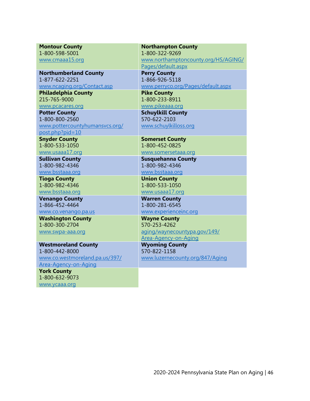| <b>Montour County</b>                      | <b>Northampton County</b>            |
|--------------------------------------------|--------------------------------------|
| 1-800-598-5001                             | 1-800-322-9269                       |
| www.cmaaa15.org                            | www.northamptoncounty.org/HS/AGING/  |
|                                            | Pages/default.aspx                   |
| <b>Northumberland County</b>               | <b>Perry County</b>                  |
| 1-877-622-2251                             | 1-866-926-5118                       |
| www.ncaging.org/Contact.asp                | www.perryco.org/Pages/default.aspx   |
| <b>Philadelphia County</b><br>215-765-9000 | <b>Pike County</b><br>1-800-233-8911 |
| www.pcacares.org                           | www.pikeaaa.org                      |
| <b>Potter County</b>                       | <b>Schuylkill County</b>             |
| 1-800-800-2560                             | 570-622-2103                         |
| www.pottercountyhumansvcs.org/             | www.schuylkilloss.org                |
| post.php?pid=10                            |                                      |
| <b>Snyder County</b>                       | <b>Somerset County</b>               |
| 1-800-533-1050                             | 1-800-452-0825                       |
| www.usaaa17.org                            | www.somersetaaa.org                  |
| <b>Sullivan County</b>                     | <b>Susquehanna County</b>            |
| 1-800-982-4346                             | 1-800-982-4346                       |
| www.bsstaaa.org                            | www.bsstaaa.org                      |
| <b>Tioga County</b><br>1-800-982-4346      | <b>Union County</b>                  |
| www.bsstaaa.org                            | 1-800-533-1050<br>www.usaaa17.org    |
| <b>Venango County</b>                      | <b>Warren County</b>                 |
| 1-866-452-4464                             | 1-800-281-6545                       |
| www.co.venango.pa.us                       | www.experienceinc.org                |
| <b>Washington County</b>                   | <b>Wayne County</b>                  |
| 1-800-300-2704                             | 570-253-4262                         |
| www.swpa-aaa.org                           | aging/waynecountypa.gov/149/         |
|                                            | Area-Agency-on-Aging                 |
| <b>Westmoreland County</b>                 | <b>Wyoming County</b>                |
| 1-800-442-8000                             | 570-822-1158                         |
| www.co.westmoreland.pa.us/397/             | www.luzernecounty.org/847/Aging      |
| Area-Agency-on-Aging                       |                                      |
| <b>York County</b><br>1-800-632-9073       |                                      |
|                                            |                                      |
| www.ycaaa.org                              |                                      |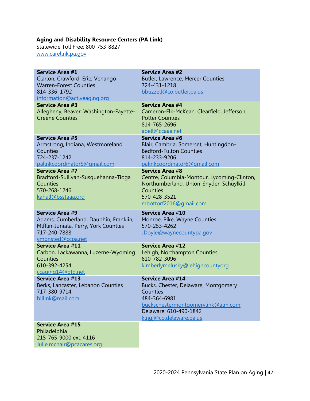#### **Aging and Disability Resource Centers (PA Link)**

Statewide Toll Free: 800-753-8827 [www.carelink.pa.gov](http://www.carelink.pa.gov/)

| <b>Service Area #1</b>                              | <b>Service Area #2</b>                      |
|-----------------------------------------------------|---------------------------------------------|
| Clarion, Crawford, Erie, Venango                    | <b>Butler, Lawrence, Mercer Counties</b>    |
| <b>Warren-Forest Counties</b>                       | 724-431-1218                                |
| 814-336-1792                                        | bbuzzell@co.butler.pa.us                    |
| information@activeaging.org                         |                                             |
| <b>Service Area #3</b>                              | <b>Service Area #4</b>                      |
| Allegheny, Beaver, Washington-Fayette-              | Cameron-Elk-McKean, Clearfield, Jefferson,  |
| <b>Greene Counties</b>                              | <b>Potter Counties</b><br>814-765-2696      |
|                                                     | abell@ccaaa.net                             |
| <b>Service Area #5</b>                              | <b>Service Area #6</b>                      |
| Armstrong, Indiana, Westmoreland                    | Blair, Cambria, Somerset, Huntingdon-       |
| Counties                                            | <b>Bedford-Fulton Counties</b>              |
| 724-237-1242                                        | 814-233-9206                                |
| palinkcoordinator5@gmail.com                        | palinkcoordinator6@gmail.com                |
| <b>Service Area #7</b>                              | <b>Service Area #8</b>                      |
| Bradford-Sullivan-Susquehanna-Tioga                 | Centre, Columbia-Montour, Lycoming-Clinton, |
| Counties                                            | Northumberland, Union-Snyder, Schuylkill    |
| 570-268-1246                                        | Counties                                    |
| kahall@bsstaaa.org                                  | 570-428-3521                                |
|                                                     | mbottorf2016@gmail.com                      |
|                                                     |                                             |
| <b>Service Area #9</b>                              | <b>Service Area #10</b>                     |
| Adams, Cumberland, Dauphin, Franklin,               | Monroe, Pike, Wayne Counties                |
| Mifflin-Juniata, Perry, York Counties               | 570-253-4262                                |
| 717-240-7888                                        | JDoyle@waynecountypa.gov                    |
| vmonsted@ccpa.net                                   |                                             |
| <b>Service Area #11</b>                             | <b>Service Area #12</b>                     |
| Carbon, Lackawanna, Luzerne-Wyoming                 | Lehigh, Northampton Counties                |
| Counties                                            | 610-782-3096                                |
| 610-392-4254                                        | kimberlymelusky@lehighcountyorg             |
| ccaging14@ptd.net<br><b>Service Area #13</b>        | <b>Service Area #14</b>                     |
| Berks, Lancaster, Lebanon Counties                  | Bucks, Chester, Delaware, Montgomery        |
| 717-380-9714                                        | Counties                                    |
| blllink@mail.com                                    | 484-364-6981                                |
|                                                     | buckschestermontgomerylink@aim.com          |
|                                                     | Delaware: 610-490-1842                      |
|                                                     | kingj@co.delaware.pa.us                     |
| <b>Service Area #15</b>                             |                                             |
| Philadelphia                                        |                                             |
| 215-765-9000 ext. 4116<br>Julie.mcnair@pcacares.org |                                             |